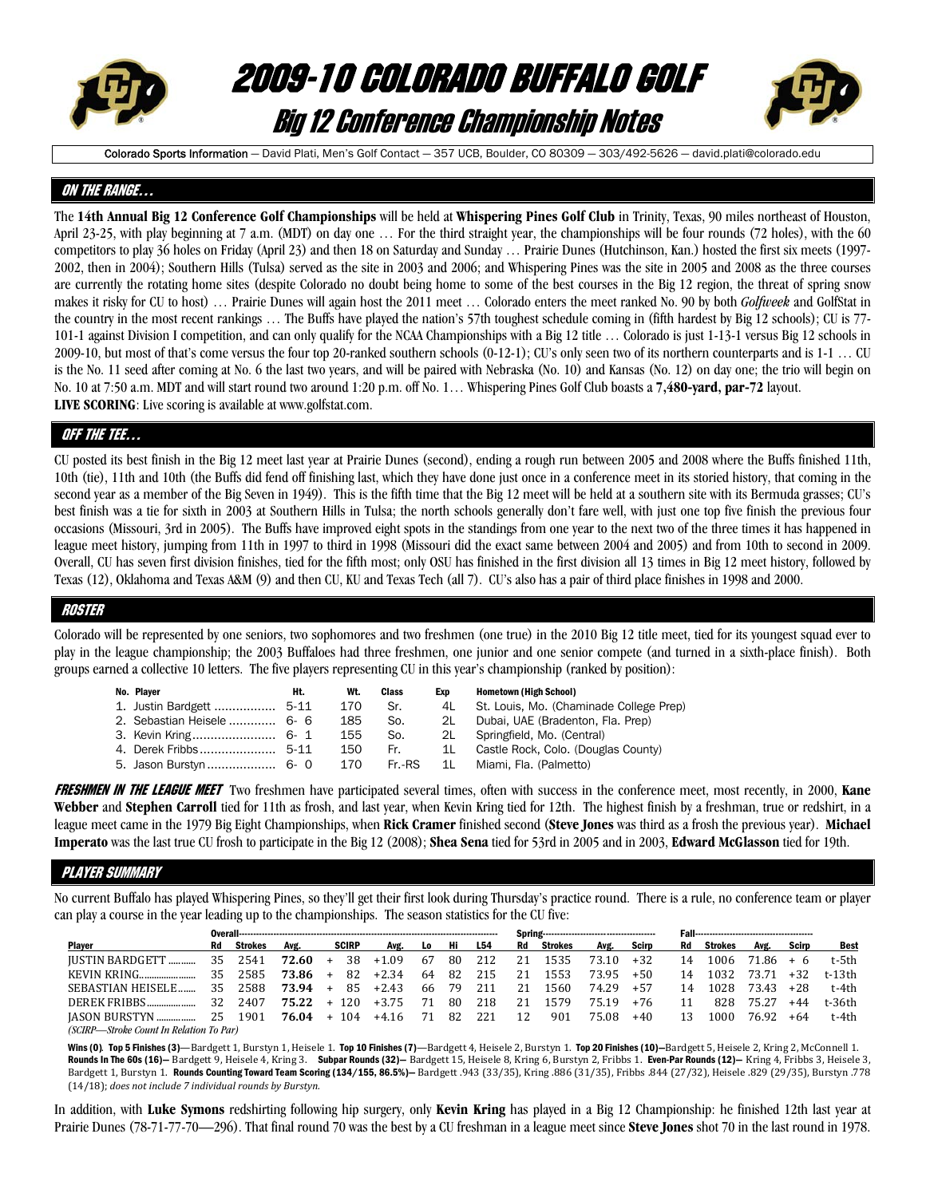

# 2009-10 COLORADO BUFFALO GOLF Big 12 Conference Championship Notes



Colorado Sports Information - David Plati, Men's Golf Contact - 357 UCB, Boulder, CO 80309 - 303/492-5626 - david.plati@colorado.edu

## ON THE RANGE…

The **14th Annual Big 12 Conference Golf Championships** will be held at **Whispering Pines Golf Club** in Trinity, Texas, 90 miles northeast of Houston, April 23-25, with play beginning at 7 a.m. (MDT) on day one ... For the third straight year, the championships will be four rounds (72 holes), with the 60 competitors to play 36 holes on Friday (April 23) and then 18 on Saturday and Sunday … Prairie Dunes (Hutchinson, Kan.) hosted the first six meets (1997- 2002, then in 2004); Southern Hills (Tulsa) served as the site in 2003 and 2006; and Whispering Pines was the site in 2005 and 2008 as the three courses are currently the rotating home sites (despite Colorado no doubt being home to some of the best courses in the Big 12 region, the threat of spring snow makes it risky for CU to host) … Prairie Dunes will again host the 2011 meet … Colorado enters the meet ranked No. 90 by both *Golfweek* and GolfStat in the country in the most recent rankings … The Buffs have played the nation's 57th toughest schedule coming in (fifth hardest by Big 12 schools); CU is 77- 101-1 against Division I competition, and can only qualify for the NCAA Championships with a Big 12 title … Colorado is just 1-13-1 versus Big 12 schools in 2009-10, but most of that's come versus the four top 20-ranked southern schools (0-12-1); CU's only seen two of its northern counterparts and is 1-1 … CU is the No. 11 seed after coming at No. 6 the last two years, and will be paired with Nebraska (No. 10) and Kansas (No. 12) on day one; the trio will begin on No. 10 at 7:50 a.m. MDT and will start round two around 1:20 p.m. off No. 1… Whispering Pines Golf Club boasts a **7,480-yard, par-72** layout. **LIVE SCORING**: Live scoring is available at www.golfstat.com.

## QFF THE TEE…

CU posted its best finish in the Big 12 meet last year at Prairie Dunes (second), ending a rough run between 2005 and 2008 where the Buffs finished 11th, 10th (tie), 11th and 10th (the Buffs did fend off finishing last, which they have done just once in a conference meet in its storied history, that coming in the second year as a member of the Big Seven in 1949). This is the fifth time that the Big 12 meet will be held at a southern site with its Bermuda grasses; CU's best finish was a tie for sixth in 2003 at Southern Hills in Tulsa; the north schools generally don't fare well, with just one top five finish the previous four occasions (Missouri, 3rd in 2005). The Buffs have improved eight spots in the standings from one year to the next two of the three times it has happened in league meet history, jumping from 11th in 1997 to third in 1998 (Missouri did the exact same between 2004 and 2005) and from 10th to second in 2009. Overall, CU has seven first division finishes, tied for the fifth most; only OSU has finished in the first division all 13 times in Big 12 meet history, followed by Texas (12), Oklahoma and Texas A&M (9) and then CU, KU and Texas Tech (all 7). CU's also has a pair of third place finishes in 1998 and 2000.

### ROSTER

Colorado will be represented by one seniors, two sophomores and two freshmen (one true) in the 2010 Big 12 title meet, tied for its youngest squad ever to play in the league championship; the 2003 Buffaloes had three freshmen, one junior and one senior compete (and turned in a sixth-place finish). Both groups earned a collective 10 letters. The five players representing CU in this year's championship (ranked by position):

| No. Player                 | Ht. | Wt. | Class | Exp | <b>Hometown (High School)</b>           |
|----------------------------|-----|-----|-------|-----|-----------------------------------------|
| 1. Justin Bardgett  5-11   |     | 170 | Sr.   | 4L  | St. Louis, Mo. (Chaminade College Prep) |
| 2. Sebastian Heisele  6- 6 |     | 185 | So.   | 2L  | Dubai, UAE (Bradenton, Fla. Prep)       |
|                            |     | 155 | So.   | 2L  | Springfield, Mo. (Central)              |
|                            |     | 150 | Fr.   | 1L  | Castle Rock, Colo. (Douglas County)     |
|                            |     |     |       |     | Miami, Fla. (Palmetto)                  |

FRESHMEN IN THE LEAGUE MEET Two freshmen have participated several times, often with success in the conference meet, most recently, in 2000, **Kane Webber** and **Stephen Carroll** tied for 11th as frosh, and last year, when Kevin Kring tied for 12th. The highest finish by a freshman, true or redshirt, in a league meet came in the 1979 Big Eight Championships, when **Rick Cramer** finished second (**Steve Jones** was third as a frosh the previous year). **Michael Imperato** was the last true CU frosh to participate in the Big 12 (2008); **Shea Sena** tied for 53rd in 2005 and in 2003, **Edward McGlasson** tied for 19th.

## Player summary

No current Buffalo has played Whispering Pines, so they'll get their first look during Thursday's practice round. There is a rule, no conference team or player can play a course in the year leading up to the championships. The season statistics for the CU five:

| <b>Plaver</b> |                                         | Rd | Strokes | Avg.  |        | <b>SCIRP</b> | Avg.    | L0 | Hi  | L54 | Rd | Strokes | Avg.  | Scirp | Rd | Strokes | Avg.  | Scirp | <b>Best</b> |
|---------------|-----------------------------------------|----|---------|-------|--------|--------------|---------|----|-----|-----|----|---------|-------|-------|----|---------|-------|-------|-------------|
|               | JUSTIN BARDGETT  35 2541                |    |         | 72.60 | $^{+}$ | 38           | $+1.09$ | 67 | 80  | 212 | 21 | 1535    | 73.10 | $+32$ | 14 | 1006    | 71.86 | $+6$  | t-5th       |
|               | KEVIN KRING                             | 35 | -2585   | 73.86 | $+$    | 82           | $+2.34$ | 64 | 82  | 215 | 21 | 1553    | 73.95 | $+50$ | 14 | 1032    | 73.71 | $+32$ | t-13th      |
|               | SEBASTIAN HEISELE                       | 35 | 2588    | 73.94 | $+$    | 85           | $+2.43$ | 66 | -79 | 211 | 21 | 1560    | 74.29 | $+57$ | 14 | 1028    | 73.43 | $+28$ | t-4th       |
|               | DEREK FRIBBS                            | 32 | 2407    | 75.22 |        | + 120        | $+3.75$ | 71 | 80  | 218 | 21 | 1579    | 75.19 | $+76$ |    | 828     | 75.27 | $+44$ | t-36th      |
|               | IASON BURSTYN                           |    | 25 1901 | 76.04 |        | $+ 104$      | +4.16   | 71 | 82  | 221 | 12 | 901     | 75.08 | $+40$ | 13 | 1000    | 76.92 | $+64$ | t-4th       |
|               | (SCIRP—Stroke Count In Relation To Par) |    |         |       |        |              |         |    |     |     |    |         |       |       |    |         |       |       |             |

Wins (0). Top 5 Finishes (3)—Bardgett 1, Burstyn 1, Heisele 1. Top 10 Finishes (7)—Bardgett 4, Heisele 2, Burstyn 1. Top 20 Finishes (10)-Bardgett 5, Heisele 2, Kring 2, McConnell 1. Rounds In The 60s (16)- Bardgett 9, Heisele 4, Kring 3. Subpar Rounds (32)- Bardgett 15, Heisele 8, Kring 6, Burstyn 2, Fribbs 1. Even-Par Rounds (12)- Kring 4, Fribbs 3, Heisele 3, Bardgett 1, Burstyn 1. Rounds Counting Toward Team Scoring (134/155, 86.5%)— Bardgett .943 (33/35), Kring .886 (31/35), Fribbs .844 (27/32), Heisele .829 (29/35), Burstyn .778 (14/18); *does not include 7 individual rounds by Burstyn.*

In addition, with **Luke Symons** redshirting following hip surgery, only **Kevin Kring** has played in a Big 12 Championship: he finished 12th last year at Prairie Dunes (78-71-77-70—296). That final round 70 was the best by a CU freshman in a league meet since **Steve Jones** shot 70 in the last round in 1978.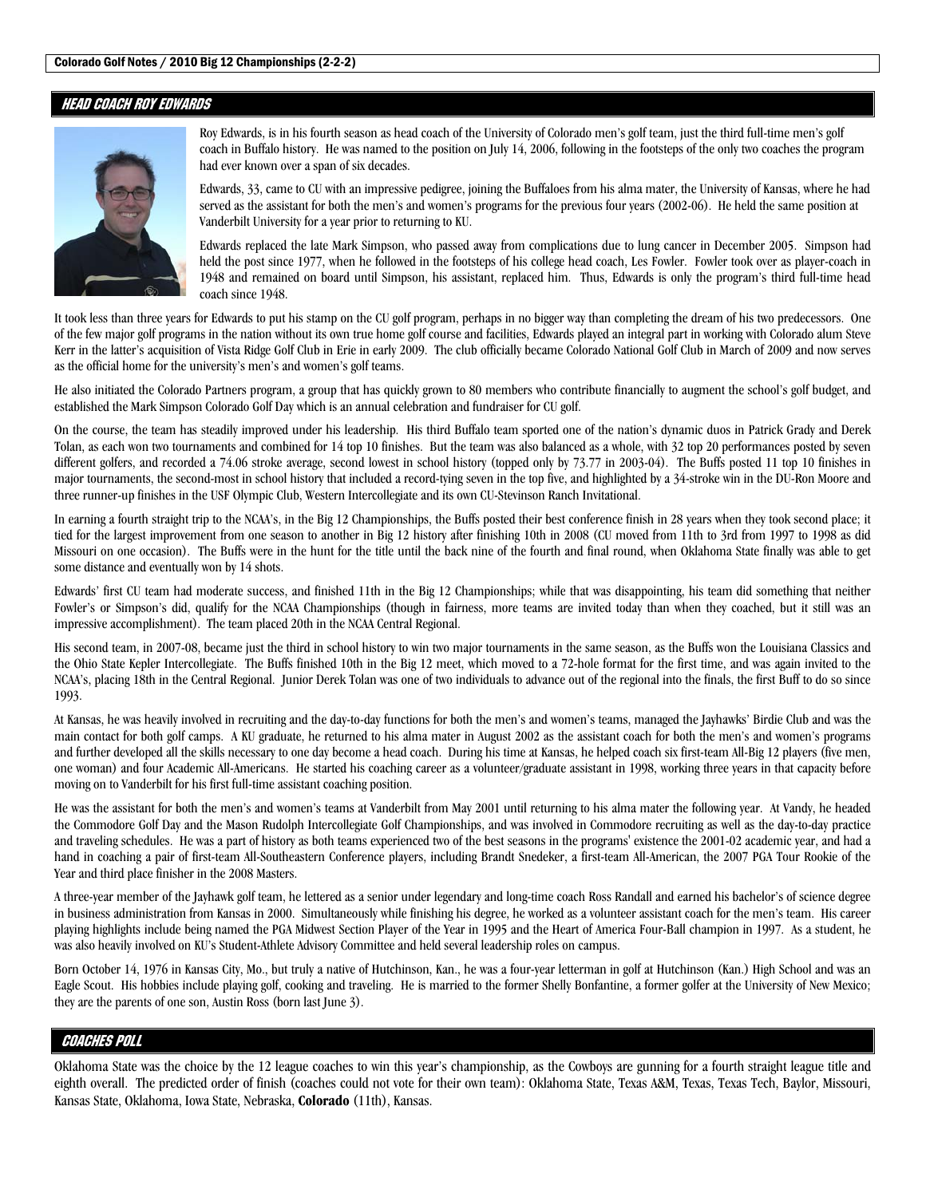## HEAD COACH ROY EDWARDS



Roy Edwards, is in his fourth season as head coach of the University of Colorado men's golf team, just the third full-time men's golf coach in Buffalo history. He was named to the position on July 14, 2006, following in the footsteps of the only two coaches the program had ever known over a span of six decades.

Edwards, 33, came to CU with an impressive pedigree, joining the Buffaloes from his alma mater, the University of Kansas, where he had served as the assistant for both the men's and women's programs for the previous four years (2002-06). He held the same position at Vanderbilt University for a year prior to returning to KU.

Edwards replaced the late Mark Simpson, who passed away from complications due to lung cancer in December 2005. Simpson had held the post since 1977, when he followed in the footsteps of his college head coach, Les Fowler. Fowler took over as player-coach in 1948 and remained on board until Simpson, his assistant, replaced him. Thus, Edwards is only the program's third full-time head coach since 1948.

It took less than three years for Edwards to put his stamp on the CU golf program, perhaps in no bigger way than completing the dream of his two predecessors. One of the few major golf programs in the nation without its own true home golf course and facilities, Edwards played an integral part in working with Colorado alum Steve Kerr in the latter's acquisition of Vista Ridge Golf Club in Erie in early 2009. The club officially became Colorado National Golf Club in March of 2009 and now serves as the official home for the university's men's and women's golf teams.

He also initiated the Colorado Partners program, a group that has quickly grown to 80 members who contribute financially to augment the school's golf budget, and established the Mark Simpson Colorado Golf Day which is an annual celebration and fundraiser for CU golf.

On the course, the team has steadily improved under his leadership. His third Buffalo team sported one of the nation's dynamic duos in Patrick Grady and Derek Tolan, as each won two tournaments and combined for 14 top 10 finishes. But the team was also balanced as a whole, with 32 top 20 performances posted by seven different golfers, and recorded a 74.06 stroke average, second lowest in school history (topped only by 73.77 in 2003-04). The Buffs posted 11 top 10 finishes in major tournaments, the second-most in school history that included a record-tying seven in the top five, and highlighted by a 34-stroke win in the DU-Ron Moore and three runner-up finishes in the USF Olympic Club, Western Intercollegiate and its own CU-Stevinson Ranch Invitational.

In earning a fourth straight trip to the NCAA's, in the Big 12 Championships, the Buffs posted their best conference finish in 28 years when they took second place; it tied for the largest improvement from one season to another in Big 12 history after finishing 10th in 2008 (CU moved from 11th to 3rd from 1997 to 1998 as did Missouri on one occasion). The Buffs were in the hunt for the title until the back nine of the fourth and final round, when Oklahoma State finally was able to get some distance and eventually won by 14 shots.

Edwards' first CU team had moderate success, and finished 11th in the Big 12 Championships; while that was disappointing, his team did something that neither Fowler's or Simpson's did, qualify for the NCAA Championships (though in fairness, more teams are invited today than when they coached, but it still was an impressive accomplishment). The team placed 20th in the NCAA Central Regional.

His second team, in 2007-08, became just the third in school history to win two major tournaments in the same season, as the Buffs won the Louisiana Classics and the Ohio State Kepler Intercollegiate. The Buffs finished 10th in the Big 12 meet, which moved to a 72-hole format for the first time, and was again invited to the NCAA's, placing 18th in the Central Regional. Junior Derek Tolan was one of two individuals to advance out of the regional into the finals, the first Buff to do so since 1993.

At Kansas, he was heavily involved in recruiting and the day-to-day functions for both the men's and women's teams, managed the Jayhawks' Birdie Club and was the main contact for both golf camps. A KU graduate, he returned to his alma mater in August 2002 as the assistant coach for both the men's and women's programs and further developed all the skills necessary to one day become a head coach. During his time at Kansas, he helped coach six first-team All-Big 12 players (five men, one woman) and four Academic All-Americans. He started his coaching career as a volunteer/graduate assistant in 1998, working three years in that capacity before moving on to Vanderbilt for his first full-time assistant coaching position.

He was the assistant for both the men's and women's teams at Vanderbilt from May 2001 until returning to his alma mater the following year. At Vandy, he headed the Commodore Golf Day and the Mason Rudolph Intercollegiate Golf Championships, and was involved in Commodore recruiting as well as the day-to-day practice and traveling schedules. He was a part of history as both teams experienced two of the best seasons in the programs' existence the 2001-02 academic year, and had a hand in coaching a pair of first-team All-Southeastern Conference players, including Brandt Snedeker, a first-team All-American, the 2007 PGA Tour Rookie of the Year and third place finisher in the 2008 Masters.

A three-year member of the Jayhawk golf team, he lettered as a senior under legendary and long-time coach Ross Randall and earned his bachelor's of science degree in business administration from Kansas in 2000. Simultaneously while finishing his degree, he worked as a volunteer assistant coach for the men's team. His career playing highlights include being named the PGA Midwest Section Player of the Year in 1995 and the Heart of America Four-Ball champion in 1997. As a student, he was also heavily involved on KU's Student-Athlete Advisory Committee and held several leadership roles on campus.

Born October 14, 1976 in Kansas City, Mo., but truly a native of Hutchinson, Kan., he was a four-year letterman in golf at Hutchinson (Kan.) High School and was an Eagle Scout. His hobbies include playing golf, cooking and traveling. He is married to the former Shelly Bonfantine, a former golfer at the University of New Mexico; they are the parents of one son, Austin Ross (born last June 3).

## COACHES POLL

Oklahoma State was the choice by the 12 league coaches to win this year's championship, as the Cowboys are gunning for a fourth straight league title and eighth overall. The predicted order of finish (coaches could not vote for their own team): Oklahoma State, Texas A&M, Texas, Texas Tech, Baylor, Missouri, Kansas State, Oklahoma, Iowa State, Nebraska, **Colorado** (11th), Kansas.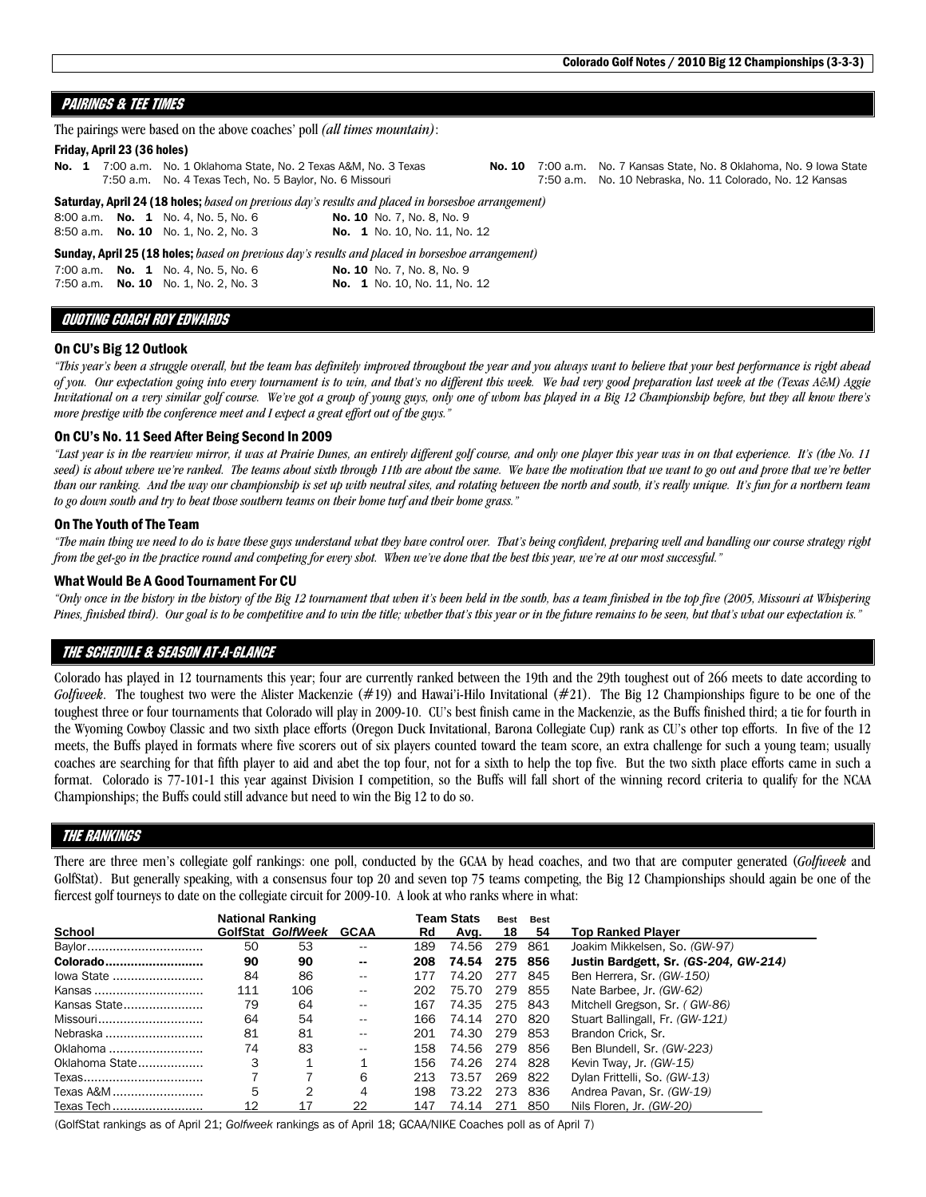## PAIRINGS & TEE TIMES

| The pairings were based on the above coaches' poll <i>(all times mountain)</i> : |                             |  |                                                                                                                                |                                                                                                           |  |  |                                                                                                                                    |  |  |  |  |  |  |
|----------------------------------------------------------------------------------|-----------------------------|--|--------------------------------------------------------------------------------------------------------------------------------|-----------------------------------------------------------------------------------------------------------|--|--|------------------------------------------------------------------------------------------------------------------------------------|--|--|--|--|--|--|
|                                                                                  | Friday, April 23 (36 holes) |  |                                                                                                                                |                                                                                                           |  |  |                                                                                                                                    |  |  |  |  |  |  |
|                                                                                  |                             |  | No. 1 7:00 a.m. No. 1 Oklahoma State, No. 2 Texas A&M, No. 3 Texas<br>7:50 a.m. No. 4 Texas Tech, No. 5 Baylor, No. 6 Missouri |                                                                                                           |  |  | No. 10 7:00 a.m. No. 7 Kansas State, No. 8 Oklahoma, No. 9 Iowa State<br>7:50 a.m. No. 10 Nebraska, No. 11 Colorado, No. 12 Kansas |  |  |  |  |  |  |
|                                                                                  |                             |  |                                                                                                                                | <b>Saturday, April 24 (18 holes;</b> based on previous day's results and placed in horseshoe arrangement) |  |  |                                                                                                                                    |  |  |  |  |  |  |
|                                                                                  |                             |  | 8:00 a.m. <b>No. 1</b> No. 4, No. 5, No. 6                                                                                     | <b>No. 10</b> No. 7, No. 8, No. 9                                                                         |  |  |                                                                                                                                    |  |  |  |  |  |  |
|                                                                                  |                             |  | 8:50 a.m. No. 10 No. 1, No. 2, No. 3                                                                                           | <b>No. 1</b> No. 10, No. 11, No. 12                                                                       |  |  |                                                                                                                                    |  |  |  |  |  |  |
|                                                                                  |                             |  |                                                                                                                                | <b>Sunday, April 25 (18 holes;</b> based on previous day's results and placed in borsesboe arrangement)   |  |  |                                                                                                                                    |  |  |  |  |  |  |
|                                                                                  |                             |  | 7:00 a.m. No. 1 No. 4, No. 5, No. 6<br>7:50 a.m. <b>No. 10</b> No. 1, No. 2, No. 3                                             | <b>No. 10</b> No. 7, No. 8, No. 9<br><b>No. 1</b> No. 10, No. 11, No. 12                                  |  |  |                                                                                                                                    |  |  |  |  |  |  |

### QUOTING COACH ROY EDWARDS

### On CU's Big 12 Outlook

*"This year's been a struggle overall, but the team has definitely improved throughout the year and you always want to believe that your best performance is right ahead of you. Our expectation going into every tournament is to win, and that's no different this week. We had very good preparation last week at the (Texas A&M) Aggie Invitational on a very similar golf course. We've got a group of young guys, only one of whom has played in a Big 12 Championship before, but they all know there's more prestige with the conference meet and I expect a great effort out of the guys."* 

### On CU's No. 11 Seed After Being Second In 2009

*"Last year is in the rearview mirror, it was at Prairie Dunes, an entirely different golf course, and only one player this year was in on that experience. It's (the No. 11*  seed) is about where we're ranked. The teams about sixth through 11th are about the same. We have the motivation that we want to go out and prove that we're better *than our ranking. And the way our championship is set up with neutral sites, and rotating between the north and south, it's really unique. It's fun for a northern team to go down south and try to beat those southern teams on their home turf and their home grass."* 

### On The Youth of The Team

*"The main thing we need to do is have these guys understand what they have control over. That's being confident, preparing well and handling our course strategy right from the get-go in the practice round and competing for every shot. When we've done that the best this year, we're at our most successful."* 

### What Would Be A Good Tournament For CU

*"Only once in the history in the history of the Big 12 tournament that when it's been held in the south, has a team finished in the top five (2005, Missouri at Whispering Pines, finished third). Our goal is to be competitive and to win the title; whether that's this year or in the future remains to be seen, but that's what our expectation is."* 

## The schedule & SEASON AT-A-GLANCE

Colorado has played in 12 tournaments this year; four are currently ranked between the 19th and the 29th toughest out of 266 meets to date according to *Golfweek*. The toughest two were the Alister Mackenzie (#19) and Hawai'i-Hilo Invitational (#21). The Big 12 Championships figure to be one of the toughest three or four tournaments that Colorado will play in 2009-10. CU's best finish came in the Mackenzie, as the Buffs finished third; a tie for fourth in the Wyoming Cowboy Classic and two sixth place efforts (Oregon Duck Invitational, Barona Collegiate Cup) rank as CU's other top efforts. In five of the 12 meets, the Buffs played in formats where five scorers out of six players counted toward the team score, an extra challenge for such a young team; usually coaches are searching for that fifth player to aid and abet the top four, not for a sixth to help the top five. But the two sixth place efforts came in such a format. Colorado is 77-101-1 this year against Division I competition, so the Buffs will fall short of the winning record criteria to qualify for the NCAA Championships; the Buffs could still advance but need to win the Big 12 to do so.

### The RANKINGS

There are three men's collegiate golf rankings: one poll, conducted by the GCAA by head coaches, and two that are computer generated (*Golfweek* and GolfStat). But generally speaking, with a consensus four top 20 and seven top 75 teams competing, the Big 12 Championships should again be one of the fiercest golf tourneys to date on the collegiate circuit for 2009-10. A look at who ranks where in what:

|                | <b>National Ranking</b> |                   |             |     | Team Stats | Best | Best |                                       |  |  |  |
|----------------|-------------------------|-------------------|-------------|-----|------------|------|------|---------------------------------------|--|--|--|
| School         |                         | GolfStat GolfWeek | <b>GCAA</b> | Rd  | Avg.       | 18   | 54   | Top Ranked Plaver                     |  |  |  |
| Baylor         | 50                      | 53                | $- -$       | 189 | 74.56      | 279  | 861  | Joakim Mikkelsen, So. (GW-97)         |  |  |  |
| Colorado       | 90                      | 90                | --          | 208 | 74.54      | 275  | 856  | Justin Bardgett, Sr. (GS-204, GW-214) |  |  |  |
| lowa State     | 84                      | 86                | $- -$       | 177 | 74.20      | 277  | 845  | Ben Herrera, Sr. (GW-150)             |  |  |  |
| Kansas         | 111                     | 106               | $- -$       | 202 | 75.70      | 279  | 855  | Nate Barbee, Jr. (GW-62)              |  |  |  |
| Kansas State   | 79                      | 64                | $- -$       | 167 | 74.35      | 275  | 843  | Mitchell Gregson, Sr. (GW-86)         |  |  |  |
| Missouri       | 64                      | 54                | $- -$       | 166 | 74.14      | 270  | 820  | Stuart Ballingall, Fr. (GW-121)       |  |  |  |
| Nebraska       | 81                      | 81                | $- -$       | 201 | 74.30      | 279  | 853  | Brandon Crick, Sr.                    |  |  |  |
| Oklahoma       | 74                      | 83                | $- -$       | 158 | 74.56      | 279  | 856  | Ben Blundell, Sr. (GW-223)            |  |  |  |
| Oklahoma State | 3                       |                   |             | 156 | 74.26      | 274  | 828  | Kevin Tway, Jr. (GW-15)               |  |  |  |
| Texas          |                         |                   | 6           | 213 | 73.57      | 269  | 822  | Dylan Frittelli, So. (GW-13)          |  |  |  |
| Texas A&M      | 5                       | 2                 | 4           | 198 | 73.22      | 273  | 836  | Andrea Pavan, Sr. (GW-19)             |  |  |  |
| Texas Tech     | 12                      | 17                | 22          | 147 | 74.14      | 271  | 850  | Nils Floren, Jr. (GW-20)              |  |  |  |

(GolfStat rankings as of April 21; *Golfweek* rankings as of April 18; GCAA/NIKE Coaches poll as of April 7)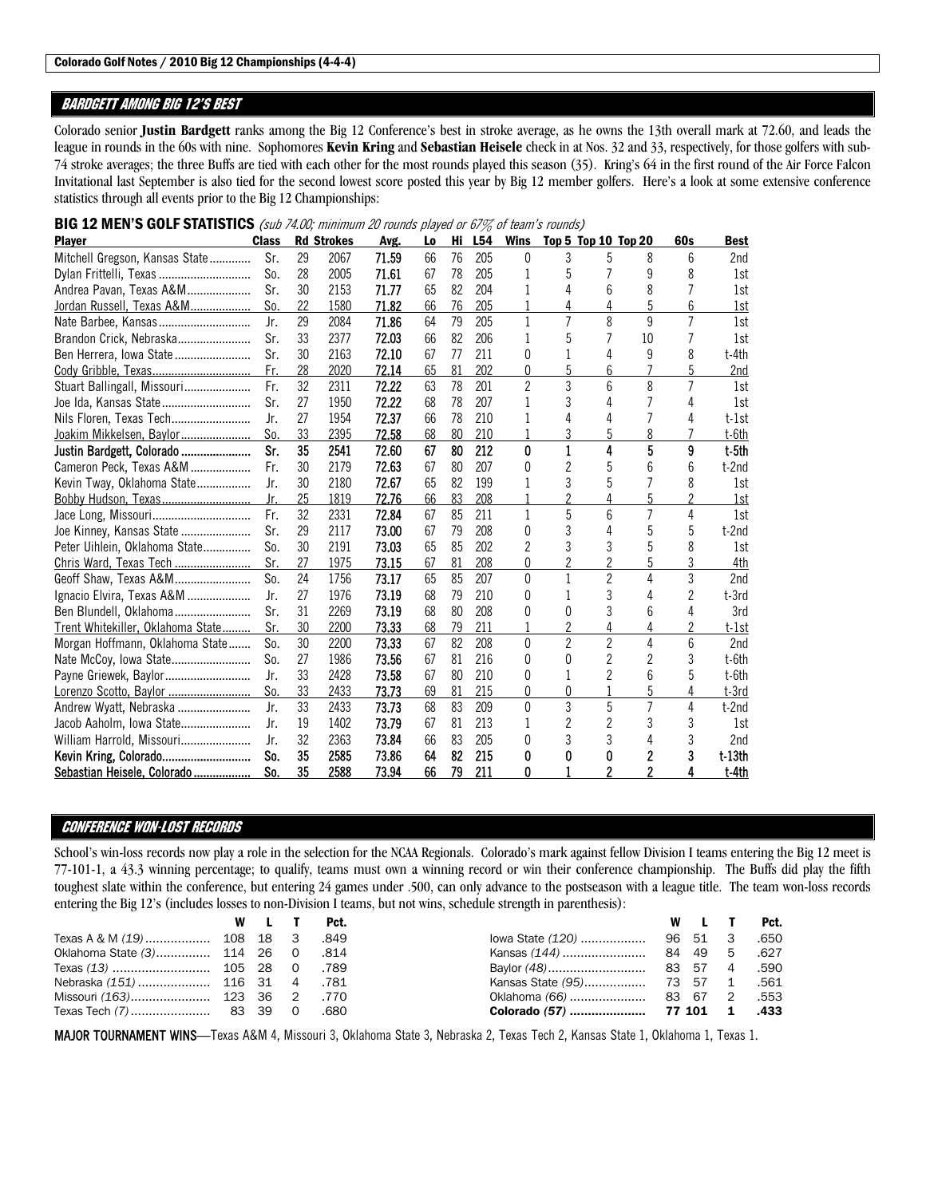## BARDGETT AMONG BIG 12's BEST

Colorado senior **Justin Bardgett** ranks among the Big 12 Conference's best in stroke average, as he owns the 13th overall mark at 72.60, and leads the league in rounds in the 60s with nine. Sophomores **Kevin Kring** and **Sebastian Heisele** check in at Nos. 32 and 33, respectively, for those golfers with sub-74 stroke averages; the three Buffs are tied with each other for the most rounds played this season (35). Kring's 64 in the first round of the Air Force Falcon Invitational last September is also tied for the second lowest score posted this year by Big 12 member golfers. Here's a look at some extensive conference statistics through all events prior to the Big 12 Championships:

| <b>Plaver</b>                     | <b>Class</b> |    | <b>Rd Strokes</b> | Avg.  | Lo | Hi | L <sub>54</sub> | <b>Wins</b>    |                | <b>Top 5 Top 10 Top 20</b> |    | <b>60s</b>     | <b>Best</b>     |
|-----------------------------------|--------------|----|-------------------|-------|----|----|-----------------|----------------|----------------|----------------------------|----|----------------|-----------------|
| Mitchell Gregson, Kansas State    | Sr.          | 29 | 2067              | 71.59 | 66 | 76 | 205             | $\Omega$       | 3              | 5                          | 8  | 6              | 2 <sub>nd</sub> |
| Dylan Frittelli, Texas            | So.          | 28 | 2005              | 71.61 | 67 | 78 | 205             |                | 5              |                            | ٩  | 8              | 1st             |
| Andrea Pavan, Texas A&M           | Sr.          | 30 | 2153              | 71.77 | 65 | 82 | 204             |                |                | 6                          | 8  |                | 1st             |
| Jordan Russell, Texas A&M         | So.          | 22 | 1580              | 71.82 | 66 | 76 | 205             |                | 4              | 4                          |    | 6              | <u>1st</u>      |
| Nate Barbee, Kansas               | Jr.          | 29 | 2084              | 71.86 | 64 | 79 | 205             | 1              | 7              | 8                          | 9  | $\overline{7}$ | 1st             |
| Brandon Crick, Nebraska           | Sr.          | 33 | 2377              | 72.03 | 66 | 82 | 206             |                | 5              |                            | 10 |                | 1st             |
| Ben Herrera, Iowa State           | Sr.          | 30 | 2163              | 72.10 | 67 | 77 | 211             | 0              |                | 4                          | 9  | 8              | t-4th           |
|                                   | Fr.          | 28 | 2020              | 72.14 | 65 | 81 | 202             | 0              | 5              | 6                          |    | 5              | 2nd             |
| Stuart Ballingall, Missouri       | Fr.          | 32 | 2311              | 72.22 | 63 | 78 | 201             | $\mathfrak{p}$ | 3              | 6                          | 8  | $\overline{7}$ | 1st             |
| Joe Ida, Kansas State             | Sr.          | 27 | 1950              | 72.22 | 68 | 78 | 207             |                | 3              | Δ                          |    | Δ              | 1st             |
| Nils Floren, Texas Tech           | Jr.          | 27 | 1954              | 72.37 | 66 | 78 | 210             |                | 4              | 4                          |    | 4              | t-1st           |
| Joakim Mikkelsen, Baylor          | So.          | 33 | 2395              | 72.58 | 68 | 80 | 210             |                |                | 5                          |    |                | t-6th           |
| Justin Bardgett, Colorado         | Sr.          | 35 | 2541              | 72.60 | 67 | 80 | 212             | 0              |                | 4                          | 5  | 9              | $t$ -5th        |
| Cameron Peck, Texas A&M           | Fr.          | 30 | 2179              | 72.63 | 67 | 80 | 207             | 0              | 2              | 5                          |    | 6              | t-2nd           |
| Kevin Tway, Oklahoma State        | Jr.          | 30 | 2180              | 72.67 | 65 | 82 | 199             |                | 3              | 5                          |    | 8              | 1st             |
|                                   | Jr.          | 25 | 1819              | 72.76 | 66 | 83 | 208             |                |                | 4                          |    |                | 1st             |
| Jace Long, Missouri               | Fr.          | 32 | 2331              | 72.84 | 67 | 85 | 211             | 1              | 5              | 6                          | 7  | 4              | 1st             |
| Joe Kinney, Kansas State          | Sr.          | 29 | 2117              | 73,00 | 67 | 79 | 208             | Ŋ              | 3              | Δ                          |    | 5              | t-2nd           |
| Peter Uihlein, Oklahoma State     | So.          | 30 | 2191              | 73.03 | 65 | 85 | 202             | 2              |                | 3                          |    | 8              | 1st             |
| Chris Ward, Texas Tech            | Sr.          | 27 | 1975              | 73.15 | 67 | 81 | 208             | 0              |                |                            |    | 3              | 4th             |
| Geoff Shaw, Texas A&M             | So.          | 24 | 1756              | 73.17 | 65 | 85 | 207             | $\Omega$       | 1              | $\overline{2}$             | Δ  | 3              | 2 <sub>nd</sub> |
| Ignacio Elvira, Texas A&M         | Jr.          | 27 | 1976              | 73.19 | 68 | 79 | 210             | 0              |                | 3                          |    | 2              | t-3rd           |
| Ben Blundell, Oklahoma            | Sr.          | 31 | 2269              | 73.19 | 68 | 80 | 208             | 0              | 0              | 3                          |    | 4              | 3rd             |
| Trent Whitekiller, Oklahoma State | Sr.          | 30 | 2200              | 73.33 | 68 | 79 | 211             |                |                | 4                          |    | $\mathfrak{p}$ | t-1st           |
| Morgan Hoffmann, Oklahoma State   | So.          | 30 | 2200              | 73.33 | 67 | 82 | 208             | $\Omega$       | $\overline{2}$ | $\overline{2}$             | 4  | 6              | 2 <sub>nd</sub> |
| Nate McCoy, Iowa State            | So.          | 27 | 1986              | 73.56 | 67 | 81 | 216             | Ŋ              | N              | 2                          |    | 3              | t-6th           |
| Payne Griewek, Baylor             | Jr.          | 33 | 2428              | 73.58 | 67 | 80 | 210             | 0              |                | 2                          |    | 5              | t-6th           |
| Lorenzo Scotto, Baylor            | So.          | 33 | 2433              | 73.73 | 69 | 81 | 215             | $\Omega$       | N              |                            |    | 4              | $t-3rd$         |
| Andrew Wyatt, Nebraska            | Jr.          | 33 | 2433              | 73.73 | 68 | 83 | 209             | $\Omega$       | 3              | 5                          |    | 4              | t-2nd           |
| Jacob Aaholm, Iowa State          | Jr.          | 19 | 1402              | 73.79 | 67 | 81 | 213             |                | 2              | 2                          | 3  | 3              | 1st             |
| William Harrold, Missouri         | Jr.          | 32 | 2363              | 73.84 | 66 | 83 | 205             | O              | 3              | 3                          | Δ  | 3              | 2nd             |
| Kevin Kring, Colorado             | So.          | 35 | 2585              | 73.86 | 64 | 82 | 215             | 0              | 0              | 0                          |    | 3              | $t-13th$        |
| Sebastian Heisele, Colorado       | So.          | 35 | 2588              | 73.94 | 66 | 79 | 211             | 0              |                | 2                          | 2  | 4              | t-4th           |

BIG 12 MEN'S GOLF STATISTICS (sub 74.00; minimum 20 rounds played or 67% of team's rounds)

## CONFERENCE WON-LOST RECORDS

School's win-loss records now play a role in the selection for the NCAA Regionals. Colorado's mark against fellow Division I teams entering the Big 12 meet is 77-101-1, a 43.3 winning percentage; to qualify, teams must own a winning record or win their conference championship. The Buffs did play the fifth toughest slate within the conference, but entering 24 games under .500, can only advance to the postseason with a league title. The team won-loss records entering the Big 12's (includes losses to non-Division I teams, but not wins, schedule strength in parenthesis):

|                                    | W L T | Pct.   |  |  | <b>Pct.</b> |
|------------------------------------|-------|--------|--|--|-------------|
|                                    |       | .849   |  |  | .650        |
| Oklahoma State (3) 114 26 0        |       | - 814. |  |  | .627        |
|                                    |       |        |  |  | .590        |
| 781. Nebraska (151)  116 31 4 .781 |       |        |  |  | .561        |
| 770. Missouri (163) 123 36         |       |        |  |  | .553        |
|                                    |       | .680   |  |  | .433        |

MAJOR TOURNAMENT WINS—Texas A&M 4, Missouri 3, Oklahoma State 3, Nebraska 2, Texas Tech 2, Kansas State 1, Oklahoma 1, Texas 1.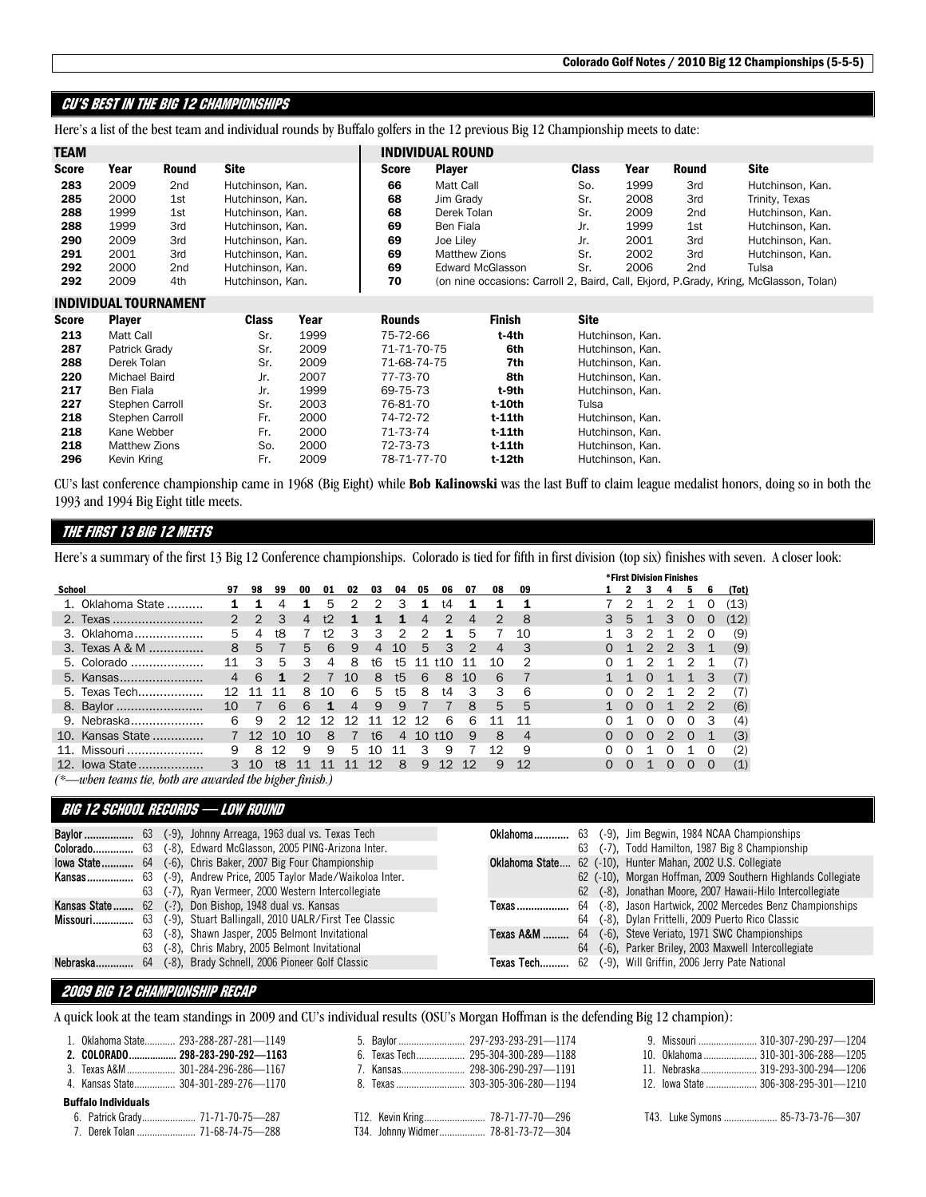## CU's BEST IN THE BIG 12 CHAMPIONSHIPS

Here's a list of the best team and individual rounds by Buffalo golfers in the 12 previous Big 12 Championship meets to date:

| <b>TEAM</b> |      |              |                  |              | <b>INDIVIDUAL ROUND</b>                                                               |              |      |       |                  |
|-------------|------|--------------|------------------|--------------|---------------------------------------------------------------------------------------|--------------|------|-------|------------------|
| Score       | Year | <b>Round</b> | <b>Site</b>      | <b>Score</b> | <b>Plaver</b>                                                                         | <b>Class</b> | Year | Round | <b>Site</b>      |
| 283         | 2009 | 2nd          | Hutchinson, Kan. | 66           | Matt Call                                                                             | So.          | 1999 | 3rd   | Hutchinson, Kan. |
| 285         | 2000 | 1st          | Hutchinson, Kan. | 68           | Jim Grady                                                                             | Sr.          | 2008 | 3rd   | Trinity, Texas   |
| 288         | 1999 | 1st          | Hutchinson, Kan. | 68           | Derek Tolan                                                                           | Sr.          | 2009 | 2nd   | Hutchinson, Kan. |
| 288         | 1999 | 3rd          | Hutchinson, Kan. | 69           | Ben Fiala                                                                             | Jr.          | 1999 | 1st   | Hutchinson, Kan. |
| 290         | 2009 | 3rd          | Hutchinson, Kan. | 69           | Joe Lilev                                                                             | Jr.          | 2001 | 3rd   | Hutchinson, Kan. |
| 291         | 2001 | 3rd          | Hutchinson, Kan. | 69           | Matthew Zions                                                                         | Sr.          | 2002 | 3rd   | Hutchinson, Kan. |
| 292         | 2000 | 2nd          | Hutchinson, Kan. | 69           | <b>Edward McGlasson</b>                                                               | Sr.          | 2006 | 2nd   | Tulsa            |
| 292         | 2009 | 4th          | Hutchinson, Kan. | 70           | (on nine occasions: Carroll 2, Baird, Call, Ekjord, P.Grady, Kring, McGlasson, Tolan) |              |      |       |                  |

### INDIVIDUAL TOURNAMENT

| <b>Score</b> | <b>Player</b>   | <b>Class</b> | Year | <b>Rounds</b> | Finish   | <b>Site</b>      |
|--------------|-----------------|--------------|------|---------------|----------|------------------|
| 213          | Matt Call       | Sr.          | 1999 | 75-72-66      | t-4th    | Hutchinson, Kan. |
| 287          | Patrick Grady   | Sr.          | 2009 | 71-71-70-75   | 6th      | Hutchinson, Kan. |
| 288          | Derek Tolan     | Sr.          | 2009 | 71-68-74-75   | 7th      | Hutchinson, Kan. |
| 220          | Michael Baird   | Jr.          | 2007 | 77-73-70      | 8th      | Hutchinson, Kan. |
| 217          | Ben Fiala       | Jr.          | 1999 | 69-75-73      | t-9th    | Hutchinson, Kan. |
| 227          | Stephen Carroll | Sr.          | 2003 | 76-81-70      | t-10th   | Tulsa            |
| 218          | Stephen Carroll | Fr.          | 2000 | 74-72-72      | $t-11th$ | Hutchinson, Kan. |
| 218          | Kane Webber     | Fr.          | 2000 | 71-73-74      | t-11th   | Hutchinson, Kan. |
| 218          | Matthew Zions   | So.          | 2000 | 72-73-73      | $t-11th$ | Hutchinson, Kan. |
| 296          | Kevin Kring     | Fr.          | 2009 | 78-71-77-70   | t-12th   | Hutchinson, Kan. |

CU's last conference championship came in 1968 (Big Eight) while **Bob Kalinowski** was the last Buff to claim league medalist honors, doing so in both the 1993 and 1994 Big Eight title meets.

## THE FIRST 13 BIG 12 MEETS

Here's a summary of the first 13 Big 12 Conference championships. Colorado is tied for fifth in first division (top six) finishes with seven. A closer look:

|               |                   |                |    |    |                |      |    |                |                |    |     |                |                |                |   |          |                  | <b>*First Division Finishes</b> |               |               |       |
|---------------|-------------------|----------------|----|----|----------------|------|----|----------------|----------------|----|-----|----------------|----------------|----------------|---|----------|------------------|---------------------------------|---------------|---------------|-------|
| <b>School</b> |                   | 97             | 98 | 99 | 00             | 01   | 02 | 03             | 04             | 05 | 06  | 07             | 08             | 09             |   |          |                  |                                 | 5             | 6             | (Tot) |
|               | 1. Oklahoma State |                |    |    |                | 5    | 2  | 2              | З              |    | t4  |                |                |                |   |          |                  |                                 |               | O             | (13)  |
|               | 2. Texas          | $\mathcal{P}$  | 2  | 3  | $\overline{4}$ | t2   |    |                |                | 4  | 2   | $\overline{4}$ | 2              | 8              | 3 | 5        |                  | 3                               | $\Omega$      | <sup>0</sup>  | (12)  |
|               | 3. Oklahoma       | 5              | 4  | t8 |                | $+2$ | 3  | З              | 2              | っ  | 1   | 5              |                | 10             |   | З        |                  |                                 | 2             | $\Omega$      | (9)   |
|               | 3. Texas A & M    | 8              | .5 |    | 5              | 6    | 9  | 4              | 10             | 5  | 3   | $\mathcal{P}$  | $\overline{4}$ | 3              | 0 |          | 2                | 2                               | 3             | 1             | (9)   |
|               | 5. Colorado       | 11             | 3  | 5  | 3              | 4    | 8  | t6             | t5             |    |     | 11             | 10             | 2              |   |          |                  |                                 |               |               | (7)   |
|               | 5. Kansas         | $\overline{4}$ | 6  |    | $\mathcal{P}$  |      | 10 | 8              | t5             | 6  | 8   | 10             | 6              |                |   |          |                  |                                 |               | 3             | (7)   |
|               | 5. Texas Tech     | 12             |    |    | 8              | 10   | 6  | 5              | t5             | 8  | t4  | 3              | 3              | 6              | Ω | $\Omega$ |                  |                                 | 2             | 2             | (7)   |
|               | 8. Baylor         | 10             |    | 6  | 6              | 1    | 4  | 9              | 9              |    |     | 8              | $5^{\circ}$    | $\overline{5}$ |   | $\Omega$ | $\Omega$         |                                 | $\mathcal{P}$ | $\mathcal{P}$ | (6)   |
|               | 9. Nebraska       | 6              | 9  | 2  |                | 12   |    |                | 12             | 19 | 6   | 6              |                |                |   |          | $\left( \right)$ | 0                               | $\Omega$      | 3             | (4)   |
|               | 10. Kansas State  |                | 12 | 10 | 10             | 8    |    | t <sub>6</sub> | $\overline{4}$ | 10 | t10 | 9              | 8              | $\overline{4}$ | 0 | $\Omega$ | $\Omega$         | $\mathcal{D}$                   | $\Omega$      |               | (3)   |
| 11.           | Missouri          | 9              | 8  | 12 | 9              | 9    | 5  | 10             | 11             | З  | 9   |                | 12             | 9              |   | $\Omega$ |                  | Ω                               |               | $\Omega$      | (2)   |
| 12.           | lowa State.       |                | 10 | t8 |                |      |    | 1つ             | 8              | 9  | つ   | 12             | 9              | 12             |   | $\Omega$ |                  | O                               | $\Omega$      | $\Omega$      | (1)   |

*(\*—when teams tie, both are awarded the higher finish.)* 

### BIG 12 SCHOOL RECORDS — LOW ROUND

|    | <b>Baylor </b> 63 (-9), Johnny Arreaga, 1963 dual vs. Texas Tech<br>Colorado 63 (-8). Edward McGlasson, 2005 PING-Arizona Inter. |            | 63 | <b>Oklahoma</b> 63 (-9), Jim Begwin, 1984 NCAA Championships<br>(-7), Todd Hamilton, 1987 Big 8 Championship |
|----|----------------------------------------------------------------------------------------------------------------------------------|------------|----|--------------------------------------------------------------------------------------------------------------|
|    | <b>lowa State</b> 64 (-6), Chris Baker, 2007 Big Four Championship                                                               |            |    | <b>Oklahoma State</b> 62 (-10), Hunter Mahan, 2002 U.S. Collegiate                                           |
|    | Kansas 63 (-9), Andrew Price, 2005 Taylor Made/Waikoloa Inter.                                                                   |            |    | 62 (-10), Morgan Hoffman, 2009 Southern Highlands Collegiate                                                 |
| 63 | (-7), Ryan Vermeer, 2000 Western Intercollegiate                                                                                 |            |    | 62 (-8), Jonathan Moore, 2007 Hawaii-Hilo Intercollegiate                                                    |
|    | <b>Kansas State</b> 62 (-?), Don Bishop, 1948 dual vs. Kansas                                                                    |            |    | <b>Texas</b> 64 (-8), Jason Hartwick, 2002 Mercedes Benz Championships                                       |
|    | Missouri 63 (-9), Stuart Ballingall, 2010 UALR/First Tee Classic                                                                 |            | 64 | (-8), Dylan Frittelli, 2009 Puerto Rico Classic                                                              |
| 63 | (-8), Shawn Jasper, 2005 Belmont Invitational                                                                                    |            |    | <b>Texas A&amp;M </b> 64 (-6), Steve Veriato, 1971 SWC Championships                                         |
| 63 | (-8), Chris Mabry, 2005 Belmont Invitational                                                                                     |            | 64 | (-6), Parker Briley, 2003 Maxwell Intercollegiate                                                            |
|    | Nebraska 64 (-8), Brady Schnell, 2006 Pioneer Golf Classic                                                                       | Texas Tech |    | 62 (-9), Will Griffin, 2006 Jerry Pate National                                                              |

## 2009 BIG 12 CHAMPIONSHIP RECAP

A quick look at the team standings in 2009 and CU's individual results (OSU's Morgan Hoffman is the defending Big 12 champion):

| 1. Oklahoma State 293-288-287-281-1149<br>3. Texas A&M  301-284-296-286-1167<br>4. Kansas State 304-301-289-276-1170 |  |
|----------------------------------------------------------------------------------------------------------------------|--|
| <b>Buffalo Individuals</b><br>6. Patrick Grady 71-71-70-75-287<br>7 Derek Tolan 71-68-74-75-288                      |  |

| 9 Missouri 310-307-290-297-1204    |  |  |
|------------------------------------|--|--|
| 10 Oklahoma 310-301-306-288-1205   |  |  |
| 11 Nebraska 319-293-300-294-1206   |  |  |
| 12 Iowa State 306-308-295-301-1210 |  |  |

T43. Luke Symons ..................... 85-73-73-76—307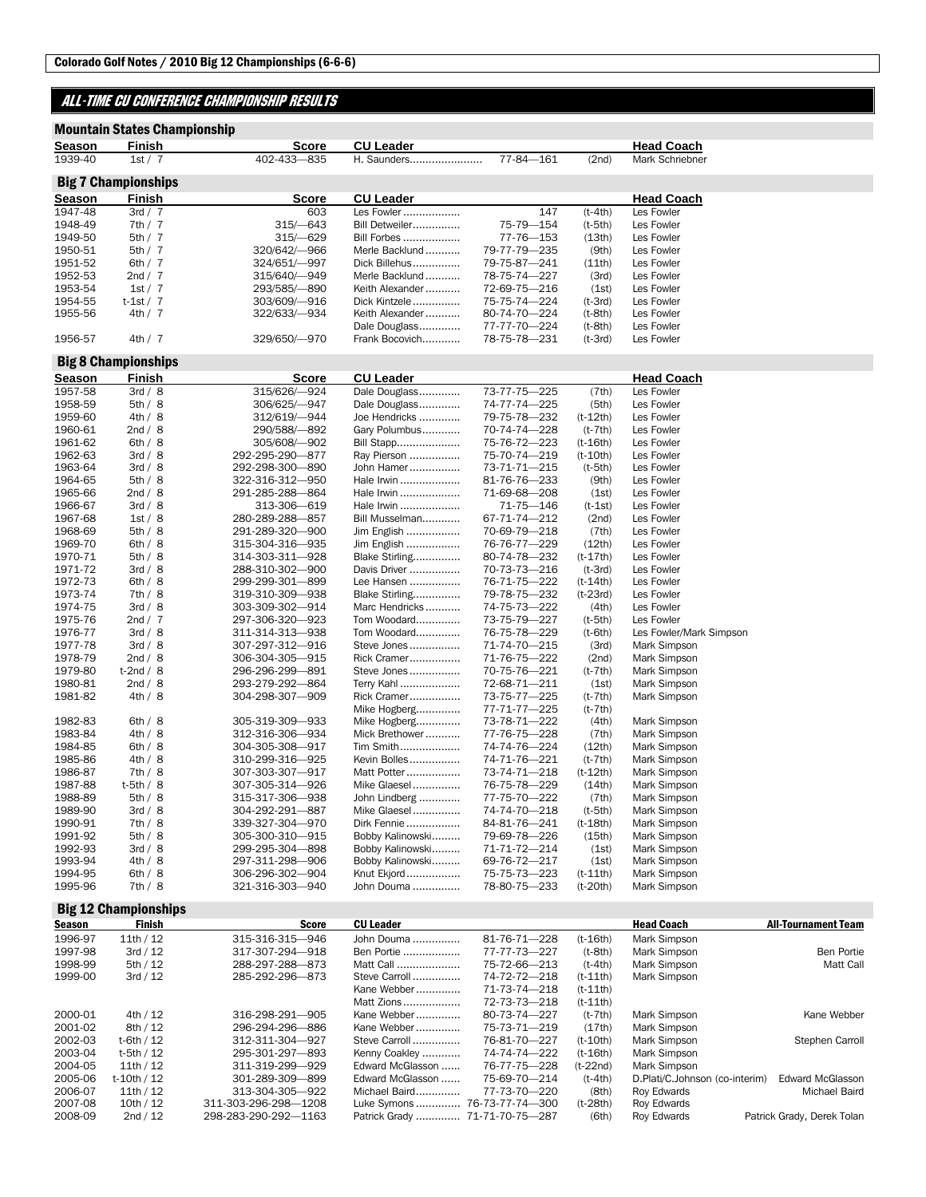## ALL-TIME CU CONFERENCE CHAMPIONSHIP RESULTS

## Mountain States Championship

| 402-433-835<br>77-84-161<br>1939-40<br>(2nd)<br>1st/7<br>H. Saunders<br>Mark Schriebner<br><b>Big 7 Championships</b><br><b>CU Leader</b><br>Season<br>Finish<br>Score<br><b>Head Coach</b><br>147<br>$(t-4th)$<br>1947-48<br>3rd / 7<br>603<br>Les Fowler<br>Les Fowler<br>1948-49<br>7th/7<br>$315/-643$<br>Bill Detweiler<br>75-79-154<br>$(t-5th)$<br>Les Fowler<br>5th / 7<br>$315/-629$<br>(13th)<br>Les Fowler<br>1949-50<br>Bill Forbes<br>77-76—153<br>1950-51<br>5th/7<br>320/642/-966<br>Merle Backlund<br>79-77-79-235<br>(9th)<br>Les Fowler<br>1951-52<br>6th $/7$<br>324/651/-997<br>Dick Billehus<br>79-75-87-241<br>(11th)<br>Les Fowler<br>1952-53<br>2nd / 7<br>315/640/-949<br>Merle Backlund<br>78-75-74-227<br>(3rd)<br>Les Fowler<br>1953-54<br>1st/7<br>293/585/-890<br>Keith Alexander<br>72-69-75-216<br>(1st)<br>Les Fowler<br>1954-55<br>$t-1st/7$<br>303/609/-916<br>Dick Kintzele<br>75-75-74-224<br>$(t-3rd)$<br>Les Fowler<br>1955-56<br>4th/7<br>322/633/-934<br>Keith Alexander<br>80-74-70-224<br>$(t-8th)$<br>Les Fowler<br>Dale Douglass<br>77-77-70-224<br>Les Fowler<br>$(t-8th)$<br>1956-57<br>4th/7<br>329/650/-970<br>Frank Bocovich<br>Les Fowler<br>78-75-78-231<br>$(t-3rd)$<br><b>Big 8 Championships</b><br><b>Finish</b><br><b>CU Leader</b><br><b>Head Coach</b><br>Season<br>Score<br>1957-58<br>315/626/-924<br>73-77-75-225<br>(7th)<br>3rd / 8<br>Dale Douglass<br>Les Fowler<br>1958-59<br>306/625/-947<br>Les Fowler<br>5th / 8<br>Dale Douglass<br>74-77-74-225<br>(5th)<br>1959-60<br>Les Fowler<br>4th/8<br>312/619/-944<br>Joe Hendricks<br>79-75-78-232<br>$(t-12th)$<br>1960-61<br>2nd / 8<br>290/588/-892<br>Gary Polumbus<br>70-74-74-228<br>$(t-7th)$<br>Les Fowler<br>1961-62<br>6th $/8$<br>305/608/-902<br>Bill Stapp<br>75-76-72-223<br>$(t-16th)$<br>Les Fowler<br>3rd / 8<br>1962-63<br>292-295-290-877<br>Ray Pierson<br>75-70-74-219<br>$(t-10th)$<br>Les Fowler<br>3rd / 8<br>$(t-5th)$<br>1963-64<br>292-298-300-890<br>John Hamer<br>73-71-71-215<br>Les Fowler<br>1964-65<br>5th/8<br>322-316-312-950<br>Hale Irwin<br>(9th)<br>Les Fowler<br>81-76-76-233<br>1965-66<br>2nd / 8<br>291-285-288-864<br>Hale Irwin<br>71-69-68-208<br>(1st)<br>Les Fowler<br>1966-67<br>3rd / 8<br>313-306-619<br>Hale Irwin<br>71-75-146<br>Les Fowler<br>$(t-1st)$<br>1967-68<br>1st/8<br>280-289-288-857<br>Bill Musselman<br>67-71-74-212<br>(2nd)<br>Les Fowler<br>5th/8<br>291-289-320-900<br>Jim English<br>70-69-79-218<br>(7th)<br>Les Fowler<br>1968-69<br>Jim English<br>1969-70<br>6th/8<br>315-304-316-935<br>76-76-77-229<br>(12th)<br>Les Fowler<br>1970-71<br>5th/8<br>314-303-311-928<br>Blake Stirling<br>80-74-78-232<br>$(t-17th)$<br>Les Fowler<br>1971-72<br>3rd / 8<br>288-310-302-900<br>Davis Driver<br>70-73-73-216<br>$(t-3rd)$<br>Les Fowler<br>1972-73<br>6th / 8<br>299-299-301-899<br>Lee Hansen<br>76-71-75-222<br>$(t-14th)$<br>Les Fowler<br>1973-74<br>7th/8<br>319-310-309-938<br>Blake Stirling<br>79-78-75-232<br>$(t-23rd)$<br>Les Fowler<br>1974-75<br>Marc Hendricks<br>Les Fowler<br>3rd / 8<br>303-309-302-914<br>74-75-73-222<br>(4th)<br>1975-76<br>2nd $/7$<br>297-306-320-923<br>Tom Woodard<br>73-75-79-227<br>$(t-5th)$<br>Les Fowler<br>1976-77<br>3rd / 8<br>Tom Woodard<br>$(t-6th)$<br>Les Fowler/Mark Simpson<br>311-314-313—938<br>76-75-78-229<br>1977-78<br>3rd / 8<br>307-297-312-916<br>Steve Jones<br>71-74-70-215<br>(3rd)<br>Mark Simpson<br>1978-79<br>2nd / 8<br>306-304-305-915<br>Rick Cramer<br>71-76-75-222<br>(2nd)<br>Mark Simpson<br>1979-80<br>$t-2nd/8$<br>296-296-299-891<br>Steve Jones<br>70-75-76-221<br>$(t-7th)$<br>Mark Simpson<br>1980-81<br>2nd / 8<br>293-279-292-864<br>Terry Kahl<br>72-68-71-211<br>(1st)<br>Mark Simpson<br>1981-82<br>4th/8<br>304-298-307-909<br>Rick Cramer<br>Mark Simpson<br>73-75-77—225<br>(t-7th)<br>Mike Hogberg<br>77-71-77-225<br>$(t-7th)$<br>305-319-309-933<br>Mike Hogberg<br>1982-83<br>6th/8<br>73-78-71-222<br>(4th)<br>Mark Simpson<br>1983-84<br>4th / 8<br>312-316-306-934<br>Mick Brethower<br>77-76-75-228<br>(7th)<br>Mark Simpson<br>1984-85<br>6th/8<br>304-305-308-917<br>(12th)<br>Mark Simpson<br>Tim Smith<br>74-74-76-224<br>1985-86<br>4th / 8<br>310-299-316-925<br>Kevin Bolles<br>74-71-76-221<br>$(t-7th)$<br>Mark Simpson<br>7th/8<br>307-303-307-917<br>Matt Potter<br>73-74-71-218<br>$(t-12th)$<br>Mark Simpson<br>1986-87<br>1987-88<br>$t-5th/8$<br>307-305-314-926<br>Mike Glaesel<br>76-75-78-229<br>(14th)<br>Mark Simpson<br>1988-89<br>5th/8<br>315-317-306-938<br>John Lindberg<br>77-75-70-222<br>(7th)<br>Mark Simpson<br>1989-90<br>3rd / 8<br>304-292-291-887<br>Mike Glaesel<br>74-74-70-218<br>Mark Simpson<br>$(t-5th)$<br>1990-91<br>7th/8<br>339-327-304-970<br>Mark Simpson<br>Dirk Fennie<br>84-81-76-241<br>$(t-18th)$<br>1991-92<br>5th / 8<br>305-300-310-915<br>Bobby Kalinowski<br>79-69-78-226<br>(15th)<br>Mark Simpson<br>3rd / 8<br>Mark Simpson<br>1992-93<br>299-295-304-898<br>Bobby Kalinowski<br>71-71-72-214<br>(1st)<br>1993-94<br>4th / 8<br>Bobby Kalinowski<br>297-311-298-906<br>69-76-72-217<br>(1st)<br>Mark Simpson<br>1994-95<br>6th/8<br>306-296-302-904<br>Knut Ekjord<br>Mark Simpson<br>75-75-73-223<br>$(t-11th)$<br>1995-96<br>7th/8<br>321-316-303-940<br>John Douma<br>78-80-75-233<br>$(t-20th)$<br>Mark Simpson |               | <b>Mountain States Championship</b> |              |                  |  |                   |
|--------------------------------------------------------------------------------------------------------------------------------------------------------------------------------------------------------------------------------------------------------------------------------------------------------------------------------------------------------------------------------------------------------------------------------------------------------------------------------------------------------------------------------------------------------------------------------------------------------------------------------------------------------------------------------------------------------------------------------------------------------------------------------------------------------------------------------------------------------------------------------------------------------------------------------------------------------------------------------------------------------------------------------------------------------------------------------------------------------------------------------------------------------------------------------------------------------------------------------------------------------------------------------------------------------------------------------------------------------------------------------------------------------------------------------------------------------------------------------------------------------------------------------------------------------------------------------------------------------------------------------------------------------------------------------------------------------------------------------------------------------------------------------------------------------------------------------------------------------------------------------------------------------------------------------------------------------------------------------------------------------------------------------------------------------------------------------------------------------------------------------------------------------------------------------------------------------------------------------------------------------------------------------------------------------------------------------------------------------------------------------------------------------------------------------------------------------------------------------------------------------------------------------------------------------------------------------------------------------------------------------------------------------------------------------------------------------------------------------------------------------------------------------------------------------------------------------------------------------------------------------------------------------------------------------------------------------------------------------------------------------------------------------------------------------------------------------------------------------------------------------------------------------------------------------------------------------------------------------------------------------------------------------------------------------------------------------------------------------------------------------------------------------------------------------------------------------------------------------------------------------------------------------------------------------------------------------------------------------------------------------------------------------------------------------------------------------------------------------------------------------------------------------------------------------------------------------------------------------------------------------------------------------------------------------------------------------------------------------------------------------------------------------------------------------------------------------------------------------------------------------------------------------------------------------------------------------------------------------------------------------------------------------------------------------------------------------------------------------------------------------------------------------------------------------------------------------------------------------------------------------------------------------------------------------------------------------------------------------------------------------------------------------------------------------------------------------------------------------------------------------------------------------------------------------------------------------------------------------------------------------------------------------------------------------------------------------------------------------------------------------------------------------------------------------------------------------------------------------------------------------------------------------------------------------------------------------------------------------------------------------------------------------------------------------------------------------------------------------------------------------|---------------|-------------------------------------|--------------|------------------|--|-------------------|
|                                                                                                                                                                                                                                                                                                                                                                                                                                                                                                                                                                                                                                                                                                                                                                                                                                                                                                                                                                                                                                                                                                                                                                                                                                                                                                                                                                                                                                                                                                                                                                                                                                                                                                                                                                                                                                                                                                                                                                                                                                                                                                                                                                                                                                                                                                                                                                                                                                                                                                                                                                                                                                                                                                                                                                                                                                                                                                                                                                                                                                                                                                                                                                                                                                                                                                                                                                                                                                                                                                                                                                                                                                                                                                                                                                                                                                                                                                                                                                                                                                                                                                                                                                                                                                                                                                                                                                                                                                                                                                                                                                                                                                                                                                                                                                                                                                                                                                                                                                                                                                                                                                                                                                                                                                                                                                                                                                                | <u>Season</u> | Finish                              | <b>Score</b> | <b>CU Leader</b> |  | <b>Head Coach</b> |
|                                                                                                                                                                                                                                                                                                                                                                                                                                                                                                                                                                                                                                                                                                                                                                                                                                                                                                                                                                                                                                                                                                                                                                                                                                                                                                                                                                                                                                                                                                                                                                                                                                                                                                                                                                                                                                                                                                                                                                                                                                                                                                                                                                                                                                                                                                                                                                                                                                                                                                                                                                                                                                                                                                                                                                                                                                                                                                                                                                                                                                                                                                                                                                                                                                                                                                                                                                                                                                                                                                                                                                                                                                                                                                                                                                                                                                                                                                                                                                                                                                                                                                                                                                                                                                                                                                                                                                                                                                                                                                                                                                                                                                                                                                                                                                                                                                                                                                                                                                                                                                                                                                                                                                                                                                                                                                                                                                                |               |                                     |              |                  |  |                   |
|                                                                                                                                                                                                                                                                                                                                                                                                                                                                                                                                                                                                                                                                                                                                                                                                                                                                                                                                                                                                                                                                                                                                                                                                                                                                                                                                                                                                                                                                                                                                                                                                                                                                                                                                                                                                                                                                                                                                                                                                                                                                                                                                                                                                                                                                                                                                                                                                                                                                                                                                                                                                                                                                                                                                                                                                                                                                                                                                                                                                                                                                                                                                                                                                                                                                                                                                                                                                                                                                                                                                                                                                                                                                                                                                                                                                                                                                                                                                                                                                                                                                                                                                                                                                                                                                                                                                                                                                                                                                                                                                                                                                                                                                                                                                                                                                                                                                                                                                                                                                                                                                                                                                                                                                                                                                                                                                                                                |               |                                     |              |                  |  |                   |
|                                                                                                                                                                                                                                                                                                                                                                                                                                                                                                                                                                                                                                                                                                                                                                                                                                                                                                                                                                                                                                                                                                                                                                                                                                                                                                                                                                                                                                                                                                                                                                                                                                                                                                                                                                                                                                                                                                                                                                                                                                                                                                                                                                                                                                                                                                                                                                                                                                                                                                                                                                                                                                                                                                                                                                                                                                                                                                                                                                                                                                                                                                                                                                                                                                                                                                                                                                                                                                                                                                                                                                                                                                                                                                                                                                                                                                                                                                                                                                                                                                                                                                                                                                                                                                                                                                                                                                                                                                                                                                                                                                                                                                                                                                                                                                                                                                                                                                                                                                                                                                                                                                                                                                                                                                                                                                                                                                                |               |                                     |              |                  |  |                   |
|                                                                                                                                                                                                                                                                                                                                                                                                                                                                                                                                                                                                                                                                                                                                                                                                                                                                                                                                                                                                                                                                                                                                                                                                                                                                                                                                                                                                                                                                                                                                                                                                                                                                                                                                                                                                                                                                                                                                                                                                                                                                                                                                                                                                                                                                                                                                                                                                                                                                                                                                                                                                                                                                                                                                                                                                                                                                                                                                                                                                                                                                                                                                                                                                                                                                                                                                                                                                                                                                                                                                                                                                                                                                                                                                                                                                                                                                                                                                                                                                                                                                                                                                                                                                                                                                                                                                                                                                                                                                                                                                                                                                                                                                                                                                                                                                                                                                                                                                                                                                                                                                                                                                                                                                                                                                                                                                                                                |               |                                     |              |                  |  |                   |
|                                                                                                                                                                                                                                                                                                                                                                                                                                                                                                                                                                                                                                                                                                                                                                                                                                                                                                                                                                                                                                                                                                                                                                                                                                                                                                                                                                                                                                                                                                                                                                                                                                                                                                                                                                                                                                                                                                                                                                                                                                                                                                                                                                                                                                                                                                                                                                                                                                                                                                                                                                                                                                                                                                                                                                                                                                                                                                                                                                                                                                                                                                                                                                                                                                                                                                                                                                                                                                                                                                                                                                                                                                                                                                                                                                                                                                                                                                                                                                                                                                                                                                                                                                                                                                                                                                                                                                                                                                                                                                                                                                                                                                                                                                                                                                                                                                                                                                                                                                                                                                                                                                                                                                                                                                                                                                                                                                                |               |                                     |              |                  |  |                   |
|                                                                                                                                                                                                                                                                                                                                                                                                                                                                                                                                                                                                                                                                                                                                                                                                                                                                                                                                                                                                                                                                                                                                                                                                                                                                                                                                                                                                                                                                                                                                                                                                                                                                                                                                                                                                                                                                                                                                                                                                                                                                                                                                                                                                                                                                                                                                                                                                                                                                                                                                                                                                                                                                                                                                                                                                                                                                                                                                                                                                                                                                                                                                                                                                                                                                                                                                                                                                                                                                                                                                                                                                                                                                                                                                                                                                                                                                                                                                                                                                                                                                                                                                                                                                                                                                                                                                                                                                                                                                                                                                                                                                                                                                                                                                                                                                                                                                                                                                                                                                                                                                                                                                                                                                                                                                                                                                                                                |               |                                     |              |                  |  |                   |
|                                                                                                                                                                                                                                                                                                                                                                                                                                                                                                                                                                                                                                                                                                                                                                                                                                                                                                                                                                                                                                                                                                                                                                                                                                                                                                                                                                                                                                                                                                                                                                                                                                                                                                                                                                                                                                                                                                                                                                                                                                                                                                                                                                                                                                                                                                                                                                                                                                                                                                                                                                                                                                                                                                                                                                                                                                                                                                                                                                                                                                                                                                                                                                                                                                                                                                                                                                                                                                                                                                                                                                                                                                                                                                                                                                                                                                                                                                                                                                                                                                                                                                                                                                                                                                                                                                                                                                                                                                                                                                                                                                                                                                                                                                                                                                                                                                                                                                                                                                                                                                                                                                                                                                                                                                                                                                                                                                                |               |                                     |              |                  |  |                   |
|                                                                                                                                                                                                                                                                                                                                                                                                                                                                                                                                                                                                                                                                                                                                                                                                                                                                                                                                                                                                                                                                                                                                                                                                                                                                                                                                                                                                                                                                                                                                                                                                                                                                                                                                                                                                                                                                                                                                                                                                                                                                                                                                                                                                                                                                                                                                                                                                                                                                                                                                                                                                                                                                                                                                                                                                                                                                                                                                                                                                                                                                                                                                                                                                                                                                                                                                                                                                                                                                                                                                                                                                                                                                                                                                                                                                                                                                                                                                                                                                                                                                                                                                                                                                                                                                                                                                                                                                                                                                                                                                                                                                                                                                                                                                                                                                                                                                                                                                                                                                                                                                                                                                                                                                                                                                                                                                                                                |               |                                     |              |                  |  |                   |
|                                                                                                                                                                                                                                                                                                                                                                                                                                                                                                                                                                                                                                                                                                                                                                                                                                                                                                                                                                                                                                                                                                                                                                                                                                                                                                                                                                                                                                                                                                                                                                                                                                                                                                                                                                                                                                                                                                                                                                                                                                                                                                                                                                                                                                                                                                                                                                                                                                                                                                                                                                                                                                                                                                                                                                                                                                                                                                                                                                                                                                                                                                                                                                                                                                                                                                                                                                                                                                                                                                                                                                                                                                                                                                                                                                                                                                                                                                                                                                                                                                                                                                                                                                                                                                                                                                                                                                                                                                                                                                                                                                                                                                                                                                                                                                                                                                                                                                                                                                                                                                                                                                                                                                                                                                                                                                                                                                                |               |                                     |              |                  |  |                   |
|                                                                                                                                                                                                                                                                                                                                                                                                                                                                                                                                                                                                                                                                                                                                                                                                                                                                                                                                                                                                                                                                                                                                                                                                                                                                                                                                                                                                                                                                                                                                                                                                                                                                                                                                                                                                                                                                                                                                                                                                                                                                                                                                                                                                                                                                                                                                                                                                                                                                                                                                                                                                                                                                                                                                                                                                                                                                                                                                                                                                                                                                                                                                                                                                                                                                                                                                                                                                                                                                                                                                                                                                                                                                                                                                                                                                                                                                                                                                                                                                                                                                                                                                                                                                                                                                                                                                                                                                                                                                                                                                                                                                                                                                                                                                                                                                                                                                                                                                                                                                                                                                                                                                                                                                                                                                                                                                                                                |               |                                     |              |                  |  |                   |
|                                                                                                                                                                                                                                                                                                                                                                                                                                                                                                                                                                                                                                                                                                                                                                                                                                                                                                                                                                                                                                                                                                                                                                                                                                                                                                                                                                                                                                                                                                                                                                                                                                                                                                                                                                                                                                                                                                                                                                                                                                                                                                                                                                                                                                                                                                                                                                                                                                                                                                                                                                                                                                                                                                                                                                                                                                                                                                                                                                                                                                                                                                                                                                                                                                                                                                                                                                                                                                                                                                                                                                                                                                                                                                                                                                                                                                                                                                                                                                                                                                                                                                                                                                                                                                                                                                                                                                                                                                                                                                                                                                                                                                                                                                                                                                                                                                                                                                                                                                                                                                                                                                                                                                                                                                                                                                                                                                                |               |                                     |              |                  |  |                   |
|                                                                                                                                                                                                                                                                                                                                                                                                                                                                                                                                                                                                                                                                                                                                                                                                                                                                                                                                                                                                                                                                                                                                                                                                                                                                                                                                                                                                                                                                                                                                                                                                                                                                                                                                                                                                                                                                                                                                                                                                                                                                                                                                                                                                                                                                                                                                                                                                                                                                                                                                                                                                                                                                                                                                                                                                                                                                                                                                                                                                                                                                                                                                                                                                                                                                                                                                                                                                                                                                                                                                                                                                                                                                                                                                                                                                                                                                                                                                                                                                                                                                                                                                                                                                                                                                                                                                                                                                                                                                                                                                                                                                                                                                                                                                                                                                                                                                                                                                                                                                                                                                                                                                                                                                                                                                                                                                                                                |               |                                     |              |                  |  |                   |
|                                                                                                                                                                                                                                                                                                                                                                                                                                                                                                                                                                                                                                                                                                                                                                                                                                                                                                                                                                                                                                                                                                                                                                                                                                                                                                                                                                                                                                                                                                                                                                                                                                                                                                                                                                                                                                                                                                                                                                                                                                                                                                                                                                                                                                                                                                                                                                                                                                                                                                                                                                                                                                                                                                                                                                                                                                                                                                                                                                                                                                                                                                                                                                                                                                                                                                                                                                                                                                                                                                                                                                                                                                                                                                                                                                                                                                                                                                                                                                                                                                                                                                                                                                                                                                                                                                                                                                                                                                                                                                                                                                                                                                                                                                                                                                                                                                                                                                                                                                                                                                                                                                                                                                                                                                                                                                                                                                                |               |                                     |              |                  |  |                   |
|                                                                                                                                                                                                                                                                                                                                                                                                                                                                                                                                                                                                                                                                                                                                                                                                                                                                                                                                                                                                                                                                                                                                                                                                                                                                                                                                                                                                                                                                                                                                                                                                                                                                                                                                                                                                                                                                                                                                                                                                                                                                                                                                                                                                                                                                                                                                                                                                                                                                                                                                                                                                                                                                                                                                                                                                                                                                                                                                                                                                                                                                                                                                                                                                                                                                                                                                                                                                                                                                                                                                                                                                                                                                                                                                                                                                                                                                                                                                                                                                                                                                                                                                                                                                                                                                                                                                                                                                                                                                                                                                                                                                                                                                                                                                                                                                                                                                                                                                                                                                                                                                                                                                                                                                                                                                                                                                                                                |               |                                     |              |                  |  |                   |
|                                                                                                                                                                                                                                                                                                                                                                                                                                                                                                                                                                                                                                                                                                                                                                                                                                                                                                                                                                                                                                                                                                                                                                                                                                                                                                                                                                                                                                                                                                                                                                                                                                                                                                                                                                                                                                                                                                                                                                                                                                                                                                                                                                                                                                                                                                                                                                                                                                                                                                                                                                                                                                                                                                                                                                                                                                                                                                                                                                                                                                                                                                                                                                                                                                                                                                                                                                                                                                                                                                                                                                                                                                                                                                                                                                                                                                                                                                                                                                                                                                                                                                                                                                                                                                                                                                                                                                                                                                                                                                                                                                                                                                                                                                                                                                                                                                                                                                                                                                                                                                                                                                                                                                                                                                                                                                                                                                                |               |                                     |              |                  |  |                   |
|                                                                                                                                                                                                                                                                                                                                                                                                                                                                                                                                                                                                                                                                                                                                                                                                                                                                                                                                                                                                                                                                                                                                                                                                                                                                                                                                                                                                                                                                                                                                                                                                                                                                                                                                                                                                                                                                                                                                                                                                                                                                                                                                                                                                                                                                                                                                                                                                                                                                                                                                                                                                                                                                                                                                                                                                                                                                                                                                                                                                                                                                                                                                                                                                                                                                                                                                                                                                                                                                                                                                                                                                                                                                                                                                                                                                                                                                                                                                                                                                                                                                                                                                                                                                                                                                                                                                                                                                                                                                                                                                                                                                                                                                                                                                                                                                                                                                                                                                                                                                                                                                                                                                                                                                                                                                                                                                                                                |               |                                     |              |                  |  |                   |
|                                                                                                                                                                                                                                                                                                                                                                                                                                                                                                                                                                                                                                                                                                                                                                                                                                                                                                                                                                                                                                                                                                                                                                                                                                                                                                                                                                                                                                                                                                                                                                                                                                                                                                                                                                                                                                                                                                                                                                                                                                                                                                                                                                                                                                                                                                                                                                                                                                                                                                                                                                                                                                                                                                                                                                                                                                                                                                                                                                                                                                                                                                                                                                                                                                                                                                                                                                                                                                                                                                                                                                                                                                                                                                                                                                                                                                                                                                                                                                                                                                                                                                                                                                                                                                                                                                                                                                                                                                                                                                                                                                                                                                                                                                                                                                                                                                                                                                                                                                                                                                                                                                                                                                                                                                                                                                                                                                                |               |                                     |              |                  |  |                   |
|                                                                                                                                                                                                                                                                                                                                                                                                                                                                                                                                                                                                                                                                                                                                                                                                                                                                                                                                                                                                                                                                                                                                                                                                                                                                                                                                                                                                                                                                                                                                                                                                                                                                                                                                                                                                                                                                                                                                                                                                                                                                                                                                                                                                                                                                                                                                                                                                                                                                                                                                                                                                                                                                                                                                                                                                                                                                                                                                                                                                                                                                                                                                                                                                                                                                                                                                                                                                                                                                                                                                                                                                                                                                                                                                                                                                                                                                                                                                                                                                                                                                                                                                                                                                                                                                                                                                                                                                                                                                                                                                                                                                                                                                                                                                                                                                                                                                                                                                                                                                                                                                                                                                                                                                                                                                                                                                                                                |               |                                     |              |                  |  |                   |
|                                                                                                                                                                                                                                                                                                                                                                                                                                                                                                                                                                                                                                                                                                                                                                                                                                                                                                                                                                                                                                                                                                                                                                                                                                                                                                                                                                                                                                                                                                                                                                                                                                                                                                                                                                                                                                                                                                                                                                                                                                                                                                                                                                                                                                                                                                                                                                                                                                                                                                                                                                                                                                                                                                                                                                                                                                                                                                                                                                                                                                                                                                                                                                                                                                                                                                                                                                                                                                                                                                                                                                                                                                                                                                                                                                                                                                                                                                                                                                                                                                                                                                                                                                                                                                                                                                                                                                                                                                                                                                                                                                                                                                                                                                                                                                                                                                                                                                                                                                                                                                                                                                                                                                                                                                                                                                                                                                                |               |                                     |              |                  |  |                   |
|                                                                                                                                                                                                                                                                                                                                                                                                                                                                                                                                                                                                                                                                                                                                                                                                                                                                                                                                                                                                                                                                                                                                                                                                                                                                                                                                                                                                                                                                                                                                                                                                                                                                                                                                                                                                                                                                                                                                                                                                                                                                                                                                                                                                                                                                                                                                                                                                                                                                                                                                                                                                                                                                                                                                                                                                                                                                                                                                                                                                                                                                                                                                                                                                                                                                                                                                                                                                                                                                                                                                                                                                                                                                                                                                                                                                                                                                                                                                                                                                                                                                                                                                                                                                                                                                                                                                                                                                                                                                                                                                                                                                                                                                                                                                                                                                                                                                                                                                                                                                                                                                                                                                                                                                                                                                                                                                                                                |               |                                     |              |                  |  |                   |
|                                                                                                                                                                                                                                                                                                                                                                                                                                                                                                                                                                                                                                                                                                                                                                                                                                                                                                                                                                                                                                                                                                                                                                                                                                                                                                                                                                                                                                                                                                                                                                                                                                                                                                                                                                                                                                                                                                                                                                                                                                                                                                                                                                                                                                                                                                                                                                                                                                                                                                                                                                                                                                                                                                                                                                                                                                                                                                                                                                                                                                                                                                                                                                                                                                                                                                                                                                                                                                                                                                                                                                                                                                                                                                                                                                                                                                                                                                                                                                                                                                                                                                                                                                                                                                                                                                                                                                                                                                                                                                                                                                                                                                                                                                                                                                                                                                                                                                                                                                                                                                                                                                                                                                                                                                                                                                                                                                                |               |                                     |              |                  |  |                   |
|                                                                                                                                                                                                                                                                                                                                                                                                                                                                                                                                                                                                                                                                                                                                                                                                                                                                                                                                                                                                                                                                                                                                                                                                                                                                                                                                                                                                                                                                                                                                                                                                                                                                                                                                                                                                                                                                                                                                                                                                                                                                                                                                                                                                                                                                                                                                                                                                                                                                                                                                                                                                                                                                                                                                                                                                                                                                                                                                                                                                                                                                                                                                                                                                                                                                                                                                                                                                                                                                                                                                                                                                                                                                                                                                                                                                                                                                                                                                                                                                                                                                                                                                                                                                                                                                                                                                                                                                                                                                                                                                                                                                                                                                                                                                                                                                                                                                                                                                                                                                                                                                                                                                                                                                                                                                                                                                                                                |               |                                     |              |                  |  |                   |
|                                                                                                                                                                                                                                                                                                                                                                                                                                                                                                                                                                                                                                                                                                                                                                                                                                                                                                                                                                                                                                                                                                                                                                                                                                                                                                                                                                                                                                                                                                                                                                                                                                                                                                                                                                                                                                                                                                                                                                                                                                                                                                                                                                                                                                                                                                                                                                                                                                                                                                                                                                                                                                                                                                                                                                                                                                                                                                                                                                                                                                                                                                                                                                                                                                                                                                                                                                                                                                                                                                                                                                                                                                                                                                                                                                                                                                                                                                                                                                                                                                                                                                                                                                                                                                                                                                                                                                                                                                                                                                                                                                                                                                                                                                                                                                                                                                                                                                                                                                                                                                                                                                                                                                                                                                                                                                                                                                                |               |                                     |              |                  |  |                   |
|                                                                                                                                                                                                                                                                                                                                                                                                                                                                                                                                                                                                                                                                                                                                                                                                                                                                                                                                                                                                                                                                                                                                                                                                                                                                                                                                                                                                                                                                                                                                                                                                                                                                                                                                                                                                                                                                                                                                                                                                                                                                                                                                                                                                                                                                                                                                                                                                                                                                                                                                                                                                                                                                                                                                                                                                                                                                                                                                                                                                                                                                                                                                                                                                                                                                                                                                                                                                                                                                                                                                                                                                                                                                                                                                                                                                                                                                                                                                                                                                                                                                                                                                                                                                                                                                                                                                                                                                                                                                                                                                                                                                                                                                                                                                                                                                                                                                                                                                                                                                                                                                                                                                                                                                                                                                                                                                                                                |               |                                     |              |                  |  |                   |
|                                                                                                                                                                                                                                                                                                                                                                                                                                                                                                                                                                                                                                                                                                                                                                                                                                                                                                                                                                                                                                                                                                                                                                                                                                                                                                                                                                                                                                                                                                                                                                                                                                                                                                                                                                                                                                                                                                                                                                                                                                                                                                                                                                                                                                                                                                                                                                                                                                                                                                                                                                                                                                                                                                                                                                                                                                                                                                                                                                                                                                                                                                                                                                                                                                                                                                                                                                                                                                                                                                                                                                                                                                                                                                                                                                                                                                                                                                                                                                                                                                                                                                                                                                                                                                                                                                                                                                                                                                                                                                                                                                                                                                                                                                                                                                                                                                                                                                                                                                                                                                                                                                                                                                                                                                                                                                                                                                                |               |                                     |              |                  |  |                   |
|                                                                                                                                                                                                                                                                                                                                                                                                                                                                                                                                                                                                                                                                                                                                                                                                                                                                                                                                                                                                                                                                                                                                                                                                                                                                                                                                                                                                                                                                                                                                                                                                                                                                                                                                                                                                                                                                                                                                                                                                                                                                                                                                                                                                                                                                                                                                                                                                                                                                                                                                                                                                                                                                                                                                                                                                                                                                                                                                                                                                                                                                                                                                                                                                                                                                                                                                                                                                                                                                                                                                                                                                                                                                                                                                                                                                                                                                                                                                                                                                                                                                                                                                                                                                                                                                                                                                                                                                                                                                                                                                                                                                                                                                                                                                                                                                                                                                                                                                                                                                                                                                                                                                                                                                                                                                                                                                                                                |               |                                     |              |                  |  |                   |
|                                                                                                                                                                                                                                                                                                                                                                                                                                                                                                                                                                                                                                                                                                                                                                                                                                                                                                                                                                                                                                                                                                                                                                                                                                                                                                                                                                                                                                                                                                                                                                                                                                                                                                                                                                                                                                                                                                                                                                                                                                                                                                                                                                                                                                                                                                                                                                                                                                                                                                                                                                                                                                                                                                                                                                                                                                                                                                                                                                                                                                                                                                                                                                                                                                                                                                                                                                                                                                                                                                                                                                                                                                                                                                                                                                                                                                                                                                                                                                                                                                                                                                                                                                                                                                                                                                                                                                                                                                                                                                                                                                                                                                                                                                                                                                                                                                                                                                                                                                                                                                                                                                                                                                                                                                                                                                                                                                                |               |                                     |              |                  |  |                   |
|                                                                                                                                                                                                                                                                                                                                                                                                                                                                                                                                                                                                                                                                                                                                                                                                                                                                                                                                                                                                                                                                                                                                                                                                                                                                                                                                                                                                                                                                                                                                                                                                                                                                                                                                                                                                                                                                                                                                                                                                                                                                                                                                                                                                                                                                                                                                                                                                                                                                                                                                                                                                                                                                                                                                                                                                                                                                                                                                                                                                                                                                                                                                                                                                                                                                                                                                                                                                                                                                                                                                                                                                                                                                                                                                                                                                                                                                                                                                                                                                                                                                                                                                                                                                                                                                                                                                                                                                                                                                                                                                                                                                                                                                                                                                                                                                                                                                                                                                                                                                                                                                                                                                                                                                                                                                                                                                                                                |               |                                     |              |                  |  |                   |
|                                                                                                                                                                                                                                                                                                                                                                                                                                                                                                                                                                                                                                                                                                                                                                                                                                                                                                                                                                                                                                                                                                                                                                                                                                                                                                                                                                                                                                                                                                                                                                                                                                                                                                                                                                                                                                                                                                                                                                                                                                                                                                                                                                                                                                                                                                                                                                                                                                                                                                                                                                                                                                                                                                                                                                                                                                                                                                                                                                                                                                                                                                                                                                                                                                                                                                                                                                                                                                                                                                                                                                                                                                                                                                                                                                                                                                                                                                                                                                                                                                                                                                                                                                                                                                                                                                                                                                                                                                                                                                                                                                                                                                                                                                                                                                                                                                                                                                                                                                                                                                                                                                                                                                                                                                                                                                                                                                                |               |                                     |              |                  |  |                   |
|                                                                                                                                                                                                                                                                                                                                                                                                                                                                                                                                                                                                                                                                                                                                                                                                                                                                                                                                                                                                                                                                                                                                                                                                                                                                                                                                                                                                                                                                                                                                                                                                                                                                                                                                                                                                                                                                                                                                                                                                                                                                                                                                                                                                                                                                                                                                                                                                                                                                                                                                                                                                                                                                                                                                                                                                                                                                                                                                                                                                                                                                                                                                                                                                                                                                                                                                                                                                                                                                                                                                                                                                                                                                                                                                                                                                                                                                                                                                                                                                                                                                                                                                                                                                                                                                                                                                                                                                                                                                                                                                                                                                                                                                                                                                                                                                                                                                                                                                                                                                                                                                                                                                                                                                                                                                                                                                                                                |               |                                     |              |                  |  |                   |
|                                                                                                                                                                                                                                                                                                                                                                                                                                                                                                                                                                                                                                                                                                                                                                                                                                                                                                                                                                                                                                                                                                                                                                                                                                                                                                                                                                                                                                                                                                                                                                                                                                                                                                                                                                                                                                                                                                                                                                                                                                                                                                                                                                                                                                                                                                                                                                                                                                                                                                                                                                                                                                                                                                                                                                                                                                                                                                                                                                                                                                                                                                                                                                                                                                                                                                                                                                                                                                                                                                                                                                                                                                                                                                                                                                                                                                                                                                                                                                                                                                                                                                                                                                                                                                                                                                                                                                                                                                                                                                                                                                                                                                                                                                                                                                                                                                                                                                                                                                                                                                                                                                                                                                                                                                                                                                                                                                                |               |                                     |              |                  |  |                   |
|                                                                                                                                                                                                                                                                                                                                                                                                                                                                                                                                                                                                                                                                                                                                                                                                                                                                                                                                                                                                                                                                                                                                                                                                                                                                                                                                                                                                                                                                                                                                                                                                                                                                                                                                                                                                                                                                                                                                                                                                                                                                                                                                                                                                                                                                                                                                                                                                                                                                                                                                                                                                                                                                                                                                                                                                                                                                                                                                                                                                                                                                                                                                                                                                                                                                                                                                                                                                                                                                                                                                                                                                                                                                                                                                                                                                                                                                                                                                                                                                                                                                                                                                                                                                                                                                                                                                                                                                                                                                                                                                                                                                                                                                                                                                                                                                                                                                                                                                                                                                                                                                                                                                                                                                                                                                                                                                                                                |               |                                     |              |                  |  |                   |
|                                                                                                                                                                                                                                                                                                                                                                                                                                                                                                                                                                                                                                                                                                                                                                                                                                                                                                                                                                                                                                                                                                                                                                                                                                                                                                                                                                                                                                                                                                                                                                                                                                                                                                                                                                                                                                                                                                                                                                                                                                                                                                                                                                                                                                                                                                                                                                                                                                                                                                                                                                                                                                                                                                                                                                                                                                                                                                                                                                                                                                                                                                                                                                                                                                                                                                                                                                                                                                                                                                                                                                                                                                                                                                                                                                                                                                                                                                                                                                                                                                                                                                                                                                                                                                                                                                                                                                                                                                                                                                                                                                                                                                                                                                                                                                                                                                                                                                                                                                                                                                                                                                                                                                                                                                                                                                                                                                                |               |                                     |              |                  |  |                   |
|                                                                                                                                                                                                                                                                                                                                                                                                                                                                                                                                                                                                                                                                                                                                                                                                                                                                                                                                                                                                                                                                                                                                                                                                                                                                                                                                                                                                                                                                                                                                                                                                                                                                                                                                                                                                                                                                                                                                                                                                                                                                                                                                                                                                                                                                                                                                                                                                                                                                                                                                                                                                                                                                                                                                                                                                                                                                                                                                                                                                                                                                                                                                                                                                                                                                                                                                                                                                                                                                                                                                                                                                                                                                                                                                                                                                                                                                                                                                                                                                                                                                                                                                                                                                                                                                                                                                                                                                                                                                                                                                                                                                                                                                                                                                                                                                                                                                                                                                                                                                                                                                                                                                                                                                                                                                                                                                                                                |               |                                     |              |                  |  |                   |
|                                                                                                                                                                                                                                                                                                                                                                                                                                                                                                                                                                                                                                                                                                                                                                                                                                                                                                                                                                                                                                                                                                                                                                                                                                                                                                                                                                                                                                                                                                                                                                                                                                                                                                                                                                                                                                                                                                                                                                                                                                                                                                                                                                                                                                                                                                                                                                                                                                                                                                                                                                                                                                                                                                                                                                                                                                                                                                                                                                                                                                                                                                                                                                                                                                                                                                                                                                                                                                                                                                                                                                                                                                                                                                                                                                                                                                                                                                                                                                                                                                                                                                                                                                                                                                                                                                                                                                                                                                                                                                                                                                                                                                                                                                                                                                                                                                                                                                                                                                                                                                                                                                                                                                                                                                                                                                                                                                                |               |                                     |              |                  |  |                   |
|                                                                                                                                                                                                                                                                                                                                                                                                                                                                                                                                                                                                                                                                                                                                                                                                                                                                                                                                                                                                                                                                                                                                                                                                                                                                                                                                                                                                                                                                                                                                                                                                                                                                                                                                                                                                                                                                                                                                                                                                                                                                                                                                                                                                                                                                                                                                                                                                                                                                                                                                                                                                                                                                                                                                                                                                                                                                                                                                                                                                                                                                                                                                                                                                                                                                                                                                                                                                                                                                                                                                                                                                                                                                                                                                                                                                                                                                                                                                                                                                                                                                                                                                                                                                                                                                                                                                                                                                                                                                                                                                                                                                                                                                                                                                                                                                                                                                                                                                                                                                                                                                                                                                                                                                                                                                                                                                                                                |               |                                     |              |                  |  |                   |
|                                                                                                                                                                                                                                                                                                                                                                                                                                                                                                                                                                                                                                                                                                                                                                                                                                                                                                                                                                                                                                                                                                                                                                                                                                                                                                                                                                                                                                                                                                                                                                                                                                                                                                                                                                                                                                                                                                                                                                                                                                                                                                                                                                                                                                                                                                                                                                                                                                                                                                                                                                                                                                                                                                                                                                                                                                                                                                                                                                                                                                                                                                                                                                                                                                                                                                                                                                                                                                                                                                                                                                                                                                                                                                                                                                                                                                                                                                                                                                                                                                                                                                                                                                                                                                                                                                                                                                                                                                                                                                                                                                                                                                                                                                                                                                                                                                                                                                                                                                                                                                                                                                                                                                                                                                                                                                                                                                                |               |                                     |              |                  |  |                   |
|                                                                                                                                                                                                                                                                                                                                                                                                                                                                                                                                                                                                                                                                                                                                                                                                                                                                                                                                                                                                                                                                                                                                                                                                                                                                                                                                                                                                                                                                                                                                                                                                                                                                                                                                                                                                                                                                                                                                                                                                                                                                                                                                                                                                                                                                                                                                                                                                                                                                                                                                                                                                                                                                                                                                                                                                                                                                                                                                                                                                                                                                                                                                                                                                                                                                                                                                                                                                                                                                                                                                                                                                                                                                                                                                                                                                                                                                                                                                                                                                                                                                                                                                                                                                                                                                                                                                                                                                                                                                                                                                                                                                                                                                                                                                                                                                                                                                                                                                                                                                                                                                                                                                                                                                                                                                                                                                                                                |               |                                     |              |                  |  |                   |
|                                                                                                                                                                                                                                                                                                                                                                                                                                                                                                                                                                                                                                                                                                                                                                                                                                                                                                                                                                                                                                                                                                                                                                                                                                                                                                                                                                                                                                                                                                                                                                                                                                                                                                                                                                                                                                                                                                                                                                                                                                                                                                                                                                                                                                                                                                                                                                                                                                                                                                                                                                                                                                                                                                                                                                                                                                                                                                                                                                                                                                                                                                                                                                                                                                                                                                                                                                                                                                                                                                                                                                                                                                                                                                                                                                                                                                                                                                                                                                                                                                                                                                                                                                                                                                                                                                                                                                                                                                                                                                                                                                                                                                                                                                                                                                                                                                                                                                                                                                                                                                                                                                                                                                                                                                                                                                                                                                                |               |                                     |              |                  |  |                   |
|                                                                                                                                                                                                                                                                                                                                                                                                                                                                                                                                                                                                                                                                                                                                                                                                                                                                                                                                                                                                                                                                                                                                                                                                                                                                                                                                                                                                                                                                                                                                                                                                                                                                                                                                                                                                                                                                                                                                                                                                                                                                                                                                                                                                                                                                                                                                                                                                                                                                                                                                                                                                                                                                                                                                                                                                                                                                                                                                                                                                                                                                                                                                                                                                                                                                                                                                                                                                                                                                                                                                                                                                                                                                                                                                                                                                                                                                                                                                                                                                                                                                                                                                                                                                                                                                                                                                                                                                                                                                                                                                                                                                                                                                                                                                                                                                                                                                                                                                                                                                                                                                                                                                                                                                                                                                                                                                                                                |               |                                     |              |                  |  |                   |
|                                                                                                                                                                                                                                                                                                                                                                                                                                                                                                                                                                                                                                                                                                                                                                                                                                                                                                                                                                                                                                                                                                                                                                                                                                                                                                                                                                                                                                                                                                                                                                                                                                                                                                                                                                                                                                                                                                                                                                                                                                                                                                                                                                                                                                                                                                                                                                                                                                                                                                                                                                                                                                                                                                                                                                                                                                                                                                                                                                                                                                                                                                                                                                                                                                                                                                                                                                                                                                                                                                                                                                                                                                                                                                                                                                                                                                                                                                                                                                                                                                                                                                                                                                                                                                                                                                                                                                                                                                                                                                                                                                                                                                                                                                                                                                                                                                                                                                                                                                                                                                                                                                                                                                                                                                                                                                                                                                                |               |                                     |              |                  |  |                   |
|                                                                                                                                                                                                                                                                                                                                                                                                                                                                                                                                                                                                                                                                                                                                                                                                                                                                                                                                                                                                                                                                                                                                                                                                                                                                                                                                                                                                                                                                                                                                                                                                                                                                                                                                                                                                                                                                                                                                                                                                                                                                                                                                                                                                                                                                                                                                                                                                                                                                                                                                                                                                                                                                                                                                                                                                                                                                                                                                                                                                                                                                                                                                                                                                                                                                                                                                                                                                                                                                                                                                                                                                                                                                                                                                                                                                                                                                                                                                                                                                                                                                                                                                                                                                                                                                                                                                                                                                                                                                                                                                                                                                                                                                                                                                                                                                                                                                                                                                                                                                                                                                                                                                                                                                                                                                                                                                                                                |               |                                     |              |                  |  |                   |
|                                                                                                                                                                                                                                                                                                                                                                                                                                                                                                                                                                                                                                                                                                                                                                                                                                                                                                                                                                                                                                                                                                                                                                                                                                                                                                                                                                                                                                                                                                                                                                                                                                                                                                                                                                                                                                                                                                                                                                                                                                                                                                                                                                                                                                                                                                                                                                                                                                                                                                                                                                                                                                                                                                                                                                                                                                                                                                                                                                                                                                                                                                                                                                                                                                                                                                                                                                                                                                                                                                                                                                                                                                                                                                                                                                                                                                                                                                                                                                                                                                                                                                                                                                                                                                                                                                                                                                                                                                                                                                                                                                                                                                                                                                                                                                                                                                                                                                                                                                                                                                                                                                                                                                                                                                                                                                                                                                                |               |                                     |              |                  |  |                   |
|                                                                                                                                                                                                                                                                                                                                                                                                                                                                                                                                                                                                                                                                                                                                                                                                                                                                                                                                                                                                                                                                                                                                                                                                                                                                                                                                                                                                                                                                                                                                                                                                                                                                                                                                                                                                                                                                                                                                                                                                                                                                                                                                                                                                                                                                                                                                                                                                                                                                                                                                                                                                                                                                                                                                                                                                                                                                                                                                                                                                                                                                                                                                                                                                                                                                                                                                                                                                                                                                                                                                                                                                                                                                                                                                                                                                                                                                                                                                                                                                                                                                                                                                                                                                                                                                                                                                                                                                                                                                                                                                                                                                                                                                                                                                                                                                                                                                                                                                                                                                                                                                                                                                                                                                                                                                                                                                                                                |               |                                     |              |                  |  |                   |
|                                                                                                                                                                                                                                                                                                                                                                                                                                                                                                                                                                                                                                                                                                                                                                                                                                                                                                                                                                                                                                                                                                                                                                                                                                                                                                                                                                                                                                                                                                                                                                                                                                                                                                                                                                                                                                                                                                                                                                                                                                                                                                                                                                                                                                                                                                                                                                                                                                                                                                                                                                                                                                                                                                                                                                                                                                                                                                                                                                                                                                                                                                                                                                                                                                                                                                                                                                                                                                                                                                                                                                                                                                                                                                                                                                                                                                                                                                                                                                                                                                                                                                                                                                                                                                                                                                                                                                                                                                                                                                                                                                                                                                                                                                                                                                                                                                                                                                                                                                                                                                                                                                                                                                                                                                                                                                                                                                                |               |                                     |              |                  |  |                   |
|                                                                                                                                                                                                                                                                                                                                                                                                                                                                                                                                                                                                                                                                                                                                                                                                                                                                                                                                                                                                                                                                                                                                                                                                                                                                                                                                                                                                                                                                                                                                                                                                                                                                                                                                                                                                                                                                                                                                                                                                                                                                                                                                                                                                                                                                                                                                                                                                                                                                                                                                                                                                                                                                                                                                                                                                                                                                                                                                                                                                                                                                                                                                                                                                                                                                                                                                                                                                                                                                                                                                                                                                                                                                                                                                                                                                                                                                                                                                                                                                                                                                                                                                                                                                                                                                                                                                                                                                                                                                                                                                                                                                                                                                                                                                                                                                                                                                                                                                                                                                                                                                                                                                                                                                                                                                                                                                                                                |               |                                     |              |                  |  |                   |
|                                                                                                                                                                                                                                                                                                                                                                                                                                                                                                                                                                                                                                                                                                                                                                                                                                                                                                                                                                                                                                                                                                                                                                                                                                                                                                                                                                                                                                                                                                                                                                                                                                                                                                                                                                                                                                                                                                                                                                                                                                                                                                                                                                                                                                                                                                                                                                                                                                                                                                                                                                                                                                                                                                                                                                                                                                                                                                                                                                                                                                                                                                                                                                                                                                                                                                                                                                                                                                                                                                                                                                                                                                                                                                                                                                                                                                                                                                                                                                                                                                                                                                                                                                                                                                                                                                                                                                                                                                                                                                                                                                                                                                                                                                                                                                                                                                                                                                                                                                                                                                                                                                                                                                                                                                                                                                                                                                                |               |                                     |              |                  |  |                   |
|                                                                                                                                                                                                                                                                                                                                                                                                                                                                                                                                                                                                                                                                                                                                                                                                                                                                                                                                                                                                                                                                                                                                                                                                                                                                                                                                                                                                                                                                                                                                                                                                                                                                                                                                                                                                                                                                                                                                                                                                                                                                                                                                                                                                                                                                                                                                                                                                                                                                                                                                                                                                                                                                                                                                                                                                                                                                                                                                                                                                                                                                                                                                                                                                                                                                                                                                                                                                                                                                                                                                                                                                                                                                                                                                                                                                                                                                                                                                                                                                                                                                                                                                                                                                                                                                                                                                                                                                                                                                                                                                                                                                                                                                                                                                                                                                                                                                                                                                                                                                                                                                                                                                                                                                                                                                                                                                                                                |               |                                     |              |                  |  |                   |
|                                                                                                                                                                                                                                                                                                                                                                                                                                                                                                                                                                                                                                                                                                                                                                                                                                                                                                                                                                                                                                                                                                                                                                                                                                                                                                                                                                                                                                                                                                                                                                                                                                                                                                                                                                                                                                                                                                                                                                                                                                                                                                                                                                                                                                                                                                                                                                                                                                                                                                                                                                                                                                                                                                                                                                                                                                                                                                                                                                                                                                                                                                                                                                                                                                                                                                                                                                                                                                                                                                                                                                                                                                                                                                                                                                                                                                                                                                                                                                                                                                                                                                                                                                                                                                                                                                                                                                                                                                                                                                                                                                                                                                                                                                                                                                                                                                                                                                                                                                                                                                                                                                                                                                                                                                                                                                                                                                                |               |                                     |              |                  |  |                   |
|                                                                                                                                                                                                                                                                                                                                                                                                                                                                                                                                                                                                                                                                                                                                                                                                                                                                                                                                                                                                                                                                                                                                                                                                                                                                                                                                                                                                                                                                                                                                                                                                                                                                                                                                                                                                                                                                                                                                                                                                                                                                                                                                                                                                                                                                                                                                                                                                                                                                                                                                                                                                                                                                                                                                                                                                                                                                                                                                                                                                                                                                                                                                                                                                                                                                                                                                                                                                                                                                                                                                                                                                                                                                                                                                                                                                                                                                                                                                                                                                                                                                                                                                                                                                                                                                                                                                                                                                                                                                                                                                                                                                                                                                                                                                                                                                                                                                                                                                                                                                                                                                                                                                                                                                                                                                                                                                                                                |               |                                     |              |                  |  |                   |
|                                                                                                                                                                                                                                                                                                                                                                                                                                                                                                                                                                                                                                                                                                                                                                                                                                                                                                                                                                                                                                                                                                                                                                                                                                                                                                                                                                                                                                                                                                                                                                                                                                                                                                                                                                                                                                                                                                                                                                                                                                                                                                                                                                                                                                                                                                                                                                                                                                                                                                                                                                                                                                                                                                                                                                                                                                                                                                                                                                                                                                                                                                                                                                                                                                                                                                                                                                                                                                                                                                                                                                                                                                                                                                                                                                                                                                                                                                                                                                                                                                                                                                                                                                                                                                                                                                                                                                                                                                                                                                                                                                                                                                                                                                                                                                                                                                                                                                                                                                                                                                                                                                                                                                                                                                                                                                                                                                                |               |                                     |              |                  |  |                   |
|                                                                                                                                                                                                                                                                                                                                                                                                                                                                                                                                                                                                                                                                                                                                                                                                                                                                                                                                                                                                                                                                                                                                                                                                                                                                                                                                                                                                                                                                                                                                                                                                                                                                                                                                                                                                                                                                                                                                                                                                                                                                                                                                                                                                                                                                                                                                                                                                                                                                                                                                                                                                                                                                                                                                                                                                                                                                                                                                                                                                                                                                                                                                                                                                                                                                                                                                                                                                                                                                                                                                                                                                                                                                                                                                                                                                                                                                                                                                                                                                                                                                                                                                                                                                                                                                                                                                                                                                                                                                                                                                                                                                                                                                                                                                                                                                                                                                                                                                                                                                                                                                                                                                                                                                                                                                                                                                                                                |               |                                     |              |                  |  |                   |
|                                                                                                                                                                                                                                                                                                                                                                                                                                                                                                                                                                                                                                                                                                                                                                                                                                                                                                                                                                                                                                                                                                                                                                                                                                                                                                                                                                                                                                                                                                                                                                                                                                                                                                                                                                                                                                                                                                                                                                                                                                                                                                                                                                                                                                                                                                                                                                                                                                                                                                                                                                                                                                                                                                                                                                                                                                                                                                                                                                                                                                                                                                                                                                                                                                                                                                                                                                                                                                                                                                                                                                                                                                                                                                                                                                                                                                                                                                                                                                                                                                                                                                                                                                                                                                                                                                                                                                                                                                                                                                                                                                                                                                                                                                                                                                                                                                                                                                                                                                                                                                                                                                                                                                                                                                                                                                                                                                                |               |                                     |              |                  |  |                   |
|                                                                                                                                                                                                                                                                                                                                                                                                                                                                                                                                                                                                                                                                                                                                                                                                                                                                                                                                                                                                                                                                                                                                                                                                                                                                                                                                                                                                                                                                                                                                                                                                                                                                                                                                                                                                                                                                                                                                                                                                                                                                                                                                                                                                                                                                                                                                                                                                                                                                                                                                                                                                                                                                                                                                                                                                                                                                                                                                                                                                                                                                                                                                                                                                                                                                                                                                                                                                                                                                                                                                                                                                                                                                                                                                                                                                                                                                                                                                                                                                                                                                                                                                                                                                                                                                                                                                                                                                                                                                                                                                                                                                                                                                                                                                                                                                                                                                                                                                                                                                                                                                                                                                                                                                                                                                                                                                                                                |               |                                     |              |                  |  |                   |
|                                                                                                                                                                                                                                                                                                                                                                                                                                                                                                                                                                                                                                                                                                                                                                                                                                                                                                                                                                                                                                                                                                                                                                                                                                                                                                                                                                                                                                                                                                                                                                                                                                                                                                                                                                                                                                                                                                                                                                                                                                                                                                                                                                                                                                                                                                                                                                                                                                                                                                                                                                                                                                                                                                                                                                                                                                                                                                                                                                                                                                                                                                                                                                                                                                                                                                                                                                                                                                                                                                                                                                                                                                                                                                                                                                                                                                                                                                                                                                                                                                                                                                                                                                                                                                                                                                                                                                                                                                                                                                                                                                                                                                                                                                                                                                                                                                                                                                                                                                                                                                                                                                                                                                                                                                                                                                                                                                                |               |                                     |              |                  |  |                   |
|                                                                                                                                                                                                                                                                                                                                                                                                                                                                                                                                                                                                                                                                                                                                                                                                                                                                                                                                                                                                                                                                                                                                                                                                                                                                                                                                                                                                                                                                                                                                                                                                                                                                                                                                                                                                                                                                                                                                                                                                                                                                                                                                                                                                                                                                                                                                                                                                                                                                                                                                                                                                                                                                                                                                                                                                                                                                                                                                                                                                                                                                                                                                                                                                                                                                                                                                                                                                                                                                                                                                                                                                                                                                                                                                                                                                                                                                                                                                                                                                                                                                                                                                                                                                                                                                                                                                                                                                                                                                                                                                                                                                                                                                                                                                                                                                                                                                                                                                                                                                                                                                                                                                                                                                                                                                                                                                                                                |               |                                     |              |                  |  |                   |
|                                                                                                                                                                                                                                                                                                                                                                                                                                                                                                                                                                                                                                                                                                                                                                                                                                                                                                                                                                                                                                                                                                                                                                                                                                                                                                                                                                                                                                                                                                                                                                                                                                                                                                                                                                                                                                                                                                                                                                                                                                                                                                                                                                                                                                                                                                                                                                                                                                                                                                                                                                                                                                                                                                                                                                                                                                                                                                                                                                                                                                                                                                                                                                                                                                                                                                                                                                                                                                                                                                                                                                                                                                                                                                                                                                                                                                                                                                                                                                                                                                                                                                                                                                                                                                                                                                                                                                                                                                                                                                                                                                                                                                                                                                                                                                                                                                                                                                                                                                                                                                                                                                                                                                                                                                                                                                                                                                                |               |                                     |              |                  |  |                   |
| <b>Big 12 Championships</b>                                                                                                                                                                                                                                                                                                                                                                                                                                                                                                                                                                                                                                                                                                                                                                                                                                                                                                                                                                                                                                                                                                                                                                                                                                                                                                                                                                                                                                                                                                                                                                                                                                                                                                                                                                                                                                                                                                                                                                                                                                                                                                                                                                                                                                                                                                                                                                                                                                                                                                                                                                                                                                                                                                                                                                                                                                                                                                                                                                                                                                                                                                                                                                                                                                                                                                                                                                                                                                                                                                                                                                                                                                                                                                                                                                                                                                                                                                                                                                                                                                                                                                                                                                                                                                                                                                                                                                                                                                                                                                                                                                                                                                                                                                                                                                                                                                                                                                                                                                                                                                                                                                                                                                                                                                                                                                                                                    |               |                                     |              |                  |  |                   |

| Finish      | Score                | <b>CU Leader</b> |              |                                                                                 | <b>Head Coach</b> | <b>All-Tournament Team</b>     |
|-------------|----------------------|------------------|--------------|---------------------------------------------------------------------------------|-------------------|--------------------------------|
| 11th/12     | 315-316-315-946      | John Douma       | 81-76-71-228 | $(t-16th)$                                                                      | Mark Simpson      |                                |
| 3rd/12      | 317-307-294-918      | Ben Portie       | 77-77-73-227 | $(t-8th)$                                                                       | Mark Simpson      | Ben Portie                     |
| 5th / 12    | 288-297-288-873      | Matt Call        | 75-72-66-213 | $(t-4th)$                                                                       | Mark Simpson      | Matt Call                      |
| 3rd/12      | 285-292-296-873      | Steve Carroll    | 74-72-72-218 | $(t-11th)$                                                                      | Mark Simpson      |                                |
|             |                      | Kane Webber      | 71-73-74-218 | $(t-11th)$                                                                      |                   |                                |
|             |                      | Matt Zions       | 72-73-73-218 | $(t-11th)$                                                                      |                   |                                |
| 4th / 12    | 316-298-291-905      | Kane Webber      | 80-73-74-227 | $(t-7th)$                                                                       | Mark Simpson      | Kane Webber                    |
| 8th / 12    | 296-294-296-886      | Kane Webber      | 75-73-71-219 | (17th)                                                                          | Mark Simpson      |                                |
| t-6th / 12  | 312-311-304-927      | Steve Carroll    | 76-81-70-227 | $(t-10th)$                                                                      | Mark Simpson      | Stephen Carroll                |
| t-5th $/12$ | 295-301-297-893      |                  | 74-74-74-222 | $(t-16th)$                                                                      | Mark Simpson      |                                |
| 11th/12     | 311-319-299-929      | Edward McGlasson | 76-77-75-228 | $(t-22nd)$                                                                      | Mark Simpson      |                                |
| t-10th / 12 | 301-289-309-899      | Edward McGlasson | 75-69-70-214 | $(t-4th)$                                                                       |                   | <b>Edward McGlasson</b>        |
| 11th/12     | 313-304-305-922      | Michael Baird    | 77-73-70-220 | (8th)                                                                           | Roy Edwards       | Michael Baird                  |
| 10th/12     | 311-303-296-298-1208 |                  |              | $(t-28th)$                                                                      | Roy Edwards       |                                |
| 2nd/12      | 298-283-290-292-1163 |                  |              | (6th)                                                                           | Rov Edwards       | Patrick Grady, Derek Tolan     |
|             |                      |                  |              | Kenny Coakley<br>Luke Symons  76-73-77-74-300<br>Patrick Grady  71-71-70-75-287 |                   | D.Plati/C.Johnson (co-interim) |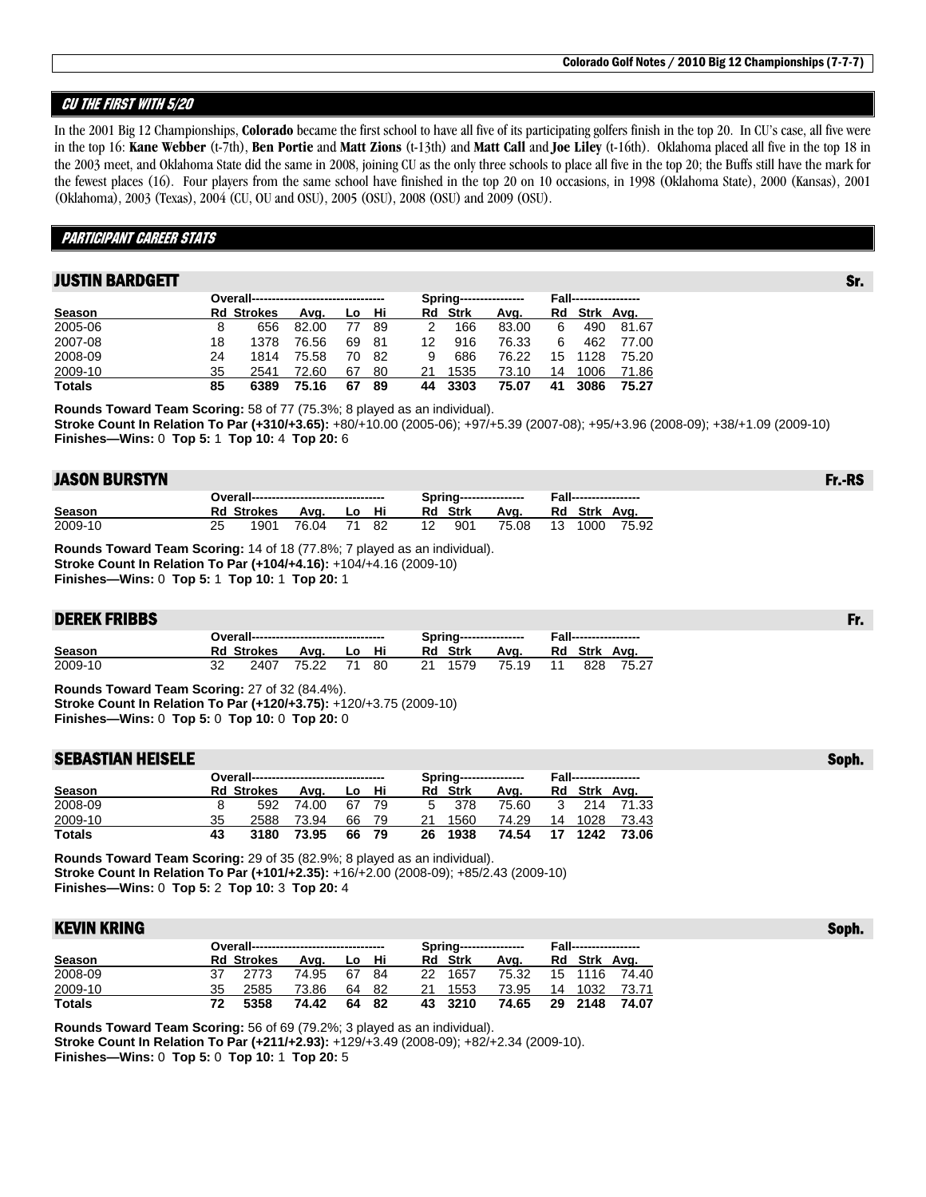## CU THE FIRST WITH 5/20

In the 2001 Big 12 Championships, **Colorado** became the first school to have all five of its participating golfers finish in the top 20. In CU's case, all five were in the top 16: **Kane Webber** (t-7th), **Ben Portie** and **Matt Zions** (t-13th) and **Matt Call** and **Joe Liley** (t-16th). Oklahoma placed all five in the top 18 in the 2003 meet, and Oklahoma State did the same in 2008, joining CU as the only three schools to place all five in the top 20; the Buffs still have the mark for the fewest places (16). Four players from the same school have finished in the top 20 on 10 occasions, in 1998 (Oklahoma State), 2000 (Kansas), 2001 (Oklahoma), 2003 (Texas), 2004 (CU, OU and OSU), 2005 (OSU), 2008 (OSU) and 2009 (OSU).

## PARTICIPANT CAREER STATS

## **JUSTIN BARDGETT STATES AND RESERVE SERVER STATES AND RESERVE SERVER STATES AND RESERVERS STATES IN STATES AND**

|               |    |                   |       |     |      |    |                | Spring----------------- |    | <b>Fall------------------</b> |       |
|---------------|----|-------------------|-------|-----|------|----|----------------|-------------------------|----|-------------------------------|-------|
| Season        |    | <b>Rd Strokes</b> | Ava.  | Lo. | - Hi |    | <b>Rd</b> Strk | Ava.                    |    | Rd Strk Avg.                  |       |
| 2005-06       | 8  | 656               | 82.00 |     | -89  |    | 166            | 83.00                   | 6  | 490                           | 81.67 |
| 2007-08       | 18 | 1378              | 76.56 | 69  | -81  | 12 | 916            | 76.33                   | 6  | 462                           | 77.00 |
| 2008-09       | 24 | 1814              | 75.58 | 70  | -82  | 9  | 686            | 76.22                   | 15 | 1128                          | 75.20 |
| 2009-10       | 35 | 2541              | 72.60 | 67  | 80   | 21 | 1535           | 73.10                   | 14 | 1006                          | 71.86 |
| <b>Totals</b> | 85 | 6389              | 75.16 | 67  | 89   | 44 | 3303           | 75.07                   | 41 | 3086                          | 75.27 |

**Rounds Toward Team Scoring:** 58 of 77 (75.3%; 8 played as an individual). **Stroke Count In Relation To Par (+310/+3.65):** +80/+10.00 (2005-06); +97/+5.39 (2007-08); +95/+3.96 (2008-09); +38/+1.09 (2009-10) **Finishes—Wins:** 0 **Top 5:** 1 **Top 10:** 4 **Top 20:** 6

### JASON BURSTYN Fr.-RS

|         | Overall---------------------------------- |                   |             |  |  |  | Spring---------------- |                |       |  | <b>Fall------------------</b> |       |  |  |
|---------|-------------------------------------------|-------------------|-------------|--|--|--|------------------------|----------------|-------|--|-------------------------------|-------|--|--|
| Season  |                                           | <b>Rd Strokes</b> | Ava. Lo Hi  |  |  |  |                        | <b>Rd</b> Strk | Ava.  |  | Rd Strk Ava.                  |       |  |  |
| 2009-10 |                                           | 1901              | 76.04 71 82 |  |  |  | 12                     | 901            | 75.08 |  | 13 1000                       | 75.92 |  |  |

**Rounds Toward Team Scoring:** 14 of 18 (77.8%; 7 played as an individual). **Stroke Count In Relation To Par (+104/+4.16):** +104/+4.16 (2009-10) **Finishes—Wins:** 0 **Top 5:** 1 **Top 10:** 1 **Top 20:** 1

### DEREK FRIBBS Fr.

|               | Overall---------------------------------- |                   |       |       |      | Spring---------------- |          | <b>Fall------------------</b> |              |       |  |
|---------------|-------------------------------------------|-------------------|-------|-------|------|------------------------|----------|-------------------------------|--------------|-------|--|
| <b>Season</b> |                                           | <b>Rd Strokes</b> | Ava.  | Lo Hi |      | Rd Strk                | Ava.     |                               | Rd Strk Ava. |       |  |
| 2009-10       |                                           | 2407              | 75.22 | 71 80 | - 21 | 1579                   | 75.19 11 |                               | 828 7        | 75.27 |  |

**Rounds Toward Team Scoring:** 27 of 32 (84.4%). **Stroke Count In Relation To Par (+120/+3.75):** +120/+3.75 (2009-10) **Finishes—Wins:** 0 **Top 5:** 0 **Top 10:** 0 **Top 20:** 0

### SEBASTIAN HEISELE SOPHER SOMETIME SOMETIME SOMETIME SOMETIME SOMETIME SOMETIME SOMETIME SOMETIME SOMETIME SOME

| Overall---------------------------------- |    |                   |       |    |       |    |                | Spring----------------- | <b>Fall------------------</b> |         |              |  |  |
|-------------------------------------------|----|-------------------|-------|----|-------|----|----------------|-------------------------|-------------------------------|---------|--------------|--|--|
| Season                                    |    | <b>Rd Strokes</b> | Ava.  | Lo | - Hi  |    | <b>Rd</b> Strk | Ava.                    |                               |         | Rd Strk Avg. |  |  |
| 2008-09                                   |    | 592               | 74.00 |    | 67 79 |    | 5 378          | 75.60                   |                               |         | 3 214 71.33  |  |  |
| 2009-10                                   | 35 | 2588              | 73.94 | 66 | -79   | 21 | 1560           | 74.29                   |                               | 14 1028 | 73.43        |  |  |
| <b>Totals</b>                             | 43 | 3180              | 73.95 |    | 66 79 | 26 | 1938           | 74.54                   | 17                            | 1242    | 73.06        |  |  |

**Rounds Toward Team Scoring:** 29 of 35 (82.9%; 8 played as an individual). **Stroke Count In Relation To Par (+101/+2.35):** +16/+2.00 (2008-09); +85/2.43 (2009-10) **Finishes—Wins:** 0 **Top 5:** 2 **Top 10:** 3 **Top 20:** 4

## KEVIN KRING AND Soph. The state of the state of the state of the state of the state of the state of the state o

|               |    | Overall---------------------------------- |       |       |       |     |                | Spring----------------- | <b>Fall------------------</b> |               |
|---------------|----|-------------------------------------------|-------|-------|-------|-----|----------------|-------------------------|-------------------------------|---------------|
| Season        |    | <b>Rd Strokes</b>                         | Ava.  | Lo Hi |       |     | <b>Rd Strk</b> | Ava.                    |                               | Rd Strk Avg.  |
| 2008-09       |    | 2773                                      | 74.95 | 67.   | -84   | 22. | 1657           | 75.32                   |                               | 15 1116 74.40 |
| 2009-10       | 35 | 2585                                      | 73.86 |       | 64 82 | 21  | 1553           | 73.95                   |                               | 14 1032 73.71 |
| <b>Totals</b> |    | 5358                                      | 74.42 |       | 64 82 |     | 43 3210        | 74.65                   | 29 2148                       | 74.07         |

**Rounds Toward Team Scoring:** 56 of 69 (79.2%; 3 played as an individual). **Stroke Count In Relation To Par (+211/+2.93):** +129/+3.49 (2008-09); +82/+2.34 (2009-10). **Finishes—Wins:** 0 **Top 5:** 0 **Top 10:** 1 **Top 20:** 5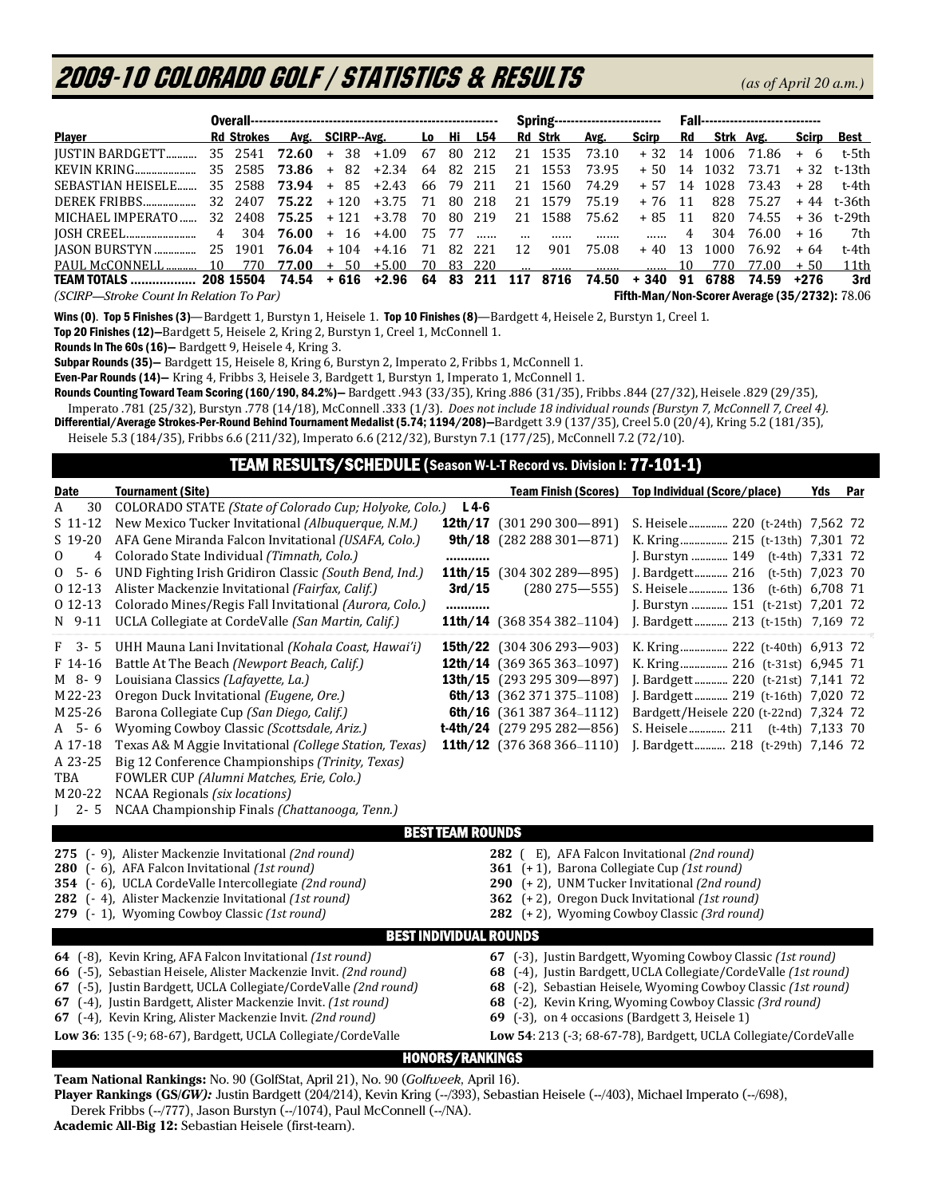# 2009-10 COLORADO GOLF / Statistics & Results*(as of April 20 a.m.)*

|                                                             |  |                   |                 |                            |                                        |     | <b>Spring---------------------------</b> |           |    |         | <b>Fall------------------------------</b> |          |      |           |                                               |       |             |
|-------------------------------------------------------------|--|-------------------|-----------------|----------------------------|----------------------------------------|-----|------------------------------------------|-----------|----|---------|-------------------------------------------|----------|------|-----------|-----------------------------------------------|-------|-------------|
| <b>Player</b>                                               |  | <b>Rd Strokes</b> |                 | Avg. SCIRP--Avg.           |                                        | Lo: | - Hi                                     | L54       |    | Rd Strk | Avg.                                      | Scirp    | Rd   | Strk Avg. |                                               | Scirp | Best        |
| IUSTIN BARDGETT 35 2541 72.60 + 38 +1.09 67                 |  |                   |                 |                            |                                        |     |                                          | 80 212    |    | 21 1535 | 73.10                                     | $+32$ 14 |      |           | 1006 71.86                                    |       | + 6 t-5th   |
| KEVIN KRING                                                 |  |                   | 35 2585 73.86 + |                            | $82 + 2.34$ 64                         |     |                                          | 82 215    |    | 21 1553 | 73.95                                     |          |      |           | + 50 14 1032 73.71                            |       | + 32 t-13th |
| SEBASTIAN HEISELE                                           |  |                   |                 | $35$ 2588 73.94 + 85 +2.43 |                                        |     |                                          | 66 79 211 |    | 21 1560 | 74.29                                     | $+57$    |      |           | 14 1028 73.43                                 | + 28  | t-4th       |
| DEREK FRIBBS                                                |  |                   |                 |                            | $32\ \ 2407\ \ 75.22\ \ +120\ \ +3.75$ | -71 |                                          | 80 218    |    | 21 1579 | 75.19                                     | +76 11   |      |           | 828 75.27                                     |       | + 44 t-36th |
| MICHAEL IMPERATO                                            |  |                   |                 |                            | $32$ 2408 75.25 + 121 +3.78            | 70  |                                          | 80 219    |    | 21 1588 | 75.62                                     | + 85     | - 11 |           | 820 74.55                                     |       | +36 t-29th  |
|                                                             |  |                   |                 |                            |                                        |     | 75 77                                    |           |    |         |                                           |          | 4    | 304       | 76.00                                         | $+16$ | 7th         |
|                                                             |  |                   |                 |                            |                                        |     |                                          |           | 12 | 901     | 75.08                                     | $+40$    | - 13 | 1000      | 76.92                                         | $+64$ | t-4th       |
| PAUL McCONNELL 10 770 77.00                                 |  |                   |                 |                            | $+ 50 + 5.00$                          |     |                                          | 70 83 220 |    |         |                                           |          | 10   | 770       | 77.00                                         | $+50$ | 11th        |
| TEAM TOTALS  208 15504 74.54 + 616 +2.96 64 83 211 117 8716 |  |                   |                 |                            |                                        |     |                                          |           |    |         |                                           |          |      |           | 74.50 + 340 91 6788 74.59 +276                |       | 3rd         |
| (SCIRP—Stroke Count In Relation To Par)                     |  |                   |                 |                            |                                        |     |                                          |           |    |         |                                           |          |      |           | Fifth-Man/Non-Scorer Average (35/2732): 78.06 |       |             |

Wins (0). Top 5 Finishes (3)—Bardgett 1, Burstyn 1, Heisele 1. Top 10 Finishes (8)—Bardgett 4, Heisele 2, Burstyn 1, Creel 1.

Top 20 Finishes (12)—Bardgett 5, Heisele 2, Kring 2, Burstyn 1, Creel 1, McConnell 1.

Rounds In The 60s (16)—Bardgett 9, Heisele 4, Kring 3.

Subpar Rounds (35)— Bardgett 15, Heisele 8, Kring 6, Burstyn 2, Imperato 2, Fribbs 1, McConnell 1.

Even-Par Rounds (14)— Kring 4, Fribbs 3, Heisele 3, Bardgett 1, Burstyn 1, Imperato 1, McConnell 1.

Rounds Counting Toward Team Scoring (160/190, 84.2%)— Bardgett .943 (33/35), Kring .886 (31/35), Fribbs .844 (27/32), Heisele .829 (29/35), Imperato .781 (25/32), Burstyn .778 (14/18), McConnell .333 (1/3). *Does not include 18 individual rounds (Burstyn 7, McConnell 7, Creel 4).*

Differential/Average Strokes-Per-Round Behind Tournament Medalist (5.74; 1194/208)-Bardgett 3.9 (137/35), Creel 5.0 (20/4), Kring 5.2 (181/35),

Heisele 5.3 (184/35), Fribbs 6.6 (211/32), Imperato 6.6 (212/32), Burstyn 7.1 (177/25), McConnell 7.2 (72/10).

## TEAM RESULTS/SCHEDULE (Season W-L-T Record vs. Division I: 77-101-1)

| Date                                                                                                               | <b>Tournament (Site)</b>                                                                                                                                                                                                                                                                                                                                                                                                                                                                                                     |                                                          |                                                                                                                                                                                                                                                     | Team Finish (Scores) Top Individual (Score/place)                                                                                                                                                                                                                                                                                  | Yds Par            |  |
|--------------------------------------------------------------------------------------------------------------------|------------------------------------------------------------------------------------------------------------------------------------------------------------------------------------------------------------------------------------------------------------------------------------------------------------------------------------------------------------------------------------------------------------------------------------------------------------------------------------------------------------------------------|----------------------------------------------------------|-----------------------------------------------------------------------------------------------------------------------------------------------------------------------------------------------------------------------------------------------------|------------------------------------------------------------------------------------------------------------------------------------------------------------------------------------------------------------------------------------------------------------------------------------------------------------------------------------|--------------------|--|
| 30<br>A<br>$S$ 11-12<br>$S$ 19-20<br>$\mathbf{0}$<br>4<br>$5 - 6$<br>$\mathbf{0}$<br>$012-13$<br>0 12-13<br>N 9-11 | COLORADO STATE (State of Colorado Cup; Holyoke, Colo.)<br>New Mexico Tucker Invitational (Albuquerque, N.M.)<br>AFA Gene Miranda Falcon Invitational (USAFA, Colo.)<br>Colorado State Individual (Timnath, Colo.)<br>UND Fighting Irish Gridiron Classic (South Bend, Ind.)<br>Alister Mackenzie Invitational (Fairfax, Calif.)<br>Colorado Mines/Regis Fall Invitational (Aurora, Colo.)<br>UCLA Collegiate at CordeValle (San Martin, Calif.)                                                                              | $L4-6$<br>12th/17<br>9th/18<br><br>11th/15<br>3rd/15<br> | $(301290300 - 891)$<br>$(282288301 - 871)$<br>$(304302289 - 895)$<br>$(280275 - 555)$<br>11th/14 (368 354 382-1104)                                                                                                                                 | S. Heisele 220 (t-24th) 7,562 72<br>K. Kring 215 (t-13th) 7,301 72<br>J. Burstyn  149 (t-4th) 7,331 72<br>J. Bardgett 216<br>S. Heisele 136 (t-6th) 6,708 71<br>J. Burstyn  151 (t-21st) 7,201 72<br>J. Bardgett 213 (t-15th) 7,169 72                                                                                             | $(t-5th)$ 7,023 70 |  |
| F 3-5<br>F 14-16<br>M 8-9<br>M22-23<br>M25-26<br>$A$ 5-6<br>A 17-18<br>A 23-25<br>TBA<br>M20-22<br>$2 - 5$         | UHH Mauna Lani Invitational (Kohala Coast, Hawai'i)<br>Battle At The Beach (Newport Beach, Calif.)<br>Louisiana Classics (Lafayette, La.)<br>Oregon Duck Invitational (Eugene, Ore.)<br>Barona Collegiate Cup (San Diego, Calif.)<br>Wyoming Cowboy Classic (Scottsdale, Ariz.)<br>Texas A& M Aggie Invitational (College Station, Texas)<br>Big 12 Conference Championships (Trinity, Texas)<br>FOWLER CUP (Alumni Matches, Erie, Colo.)<br>NCAA Regionals (six locations)<br>NCAA Championship Finals (Chattanooga, Tenn.) |                                                          | <b>15th/22</b> $(304\,306\,293 - 903)$<br><b>12th/14</b> (369 365 363-1097)<br>13th/15 $(293\,295\,309 - 897)$<br>6th/13 $(362371375-1108)$<br>6th/16 $(361387364 - 1112)$<br><b>t-4th/24</b> $(279 295 282 - 856)$<br>11th/12 $(376368366 - 1110)$ | K. Kring 222 (t-40th) 6,913 72<br>K. Kring 216 (t-31st) 6,945 71<br>J. Bardgett 220 (t-21st) 7,141 72<br>J. Bardgett 219 (t-16th) 7,020 72<br>Bardgett/Heisele 220 (t-22nd) 7,324 72<br>S. Heisele 211 (t-4th) 7,133 70<br>J. Bardgett 218 (t-29th) 7,146 72                                                                       |                    |  |
|                                                                                                                    | <b>BEST TEAM ROUNDS</b>                                                                                                                                                                                                                                                                                                                                                                                                                                                                                                      |                                                          |                                                                                                                                                                                                                                                     |                                                                                                                                                                                                                                                                                                                                    |                    |  |
|                                                                                                                    | 275 (- 9), Alister Mackenzie Invitational (2nd round)<br>280 (- 6), AFA Falcon Invitational (1st round)<br>354 (- 6), UCLA CordeValle Intercollegiate (2nd round)<br>282 (-4), Alister Mackenzie Invitational (1st round)<br>279 (- 1), Wyoming Cowboy Classic (1st round)                                                                                                                                                                                                                                                   |                                                          | 282 (E), AFA Falcon Invitational (2nd round)<br>361 (+1), Barona Collegiate Cup (1st round)                                                                                                                                                         | 290 (+2), UNM Tucker Invitational (2nd round)<br>362 (+2), Oregon Duck Invitational (1st round)<br>282 (+2), Wyoming Cowboy Classic (3rd round)                                                                                                                                                                                    |                    |  |
|                                                                                                                    | <b>BEST INDIVIDUAL ROUNDS</b>                                                                                                                                                                                                                                                                                                                                                                                                                                                                                                |                                                          |                                                                                                                                                                                                                                                     |                                                                                                                                                                                                                                                                                                                                    |                    |  |
|                                                                                                                    | 64 (-8), Kevin Kring, AFA Falcon Invitational (1st round)<br>66 (-5), Sebastian Heisele, Alister Mackenzie Invit. (2nd round)<br>67 (-5), Justin Bardgett, UCLA Collegiate/CordeValle (2nd round)<br>67 (-4), Justin Bardgett, Alister Mackenzie Invit. (1st round)<br>67 (-4), Kevin Kring, Alister Mackenzie Invit. (2nd round)<br>Low 36: 135 (-9; 68-67), Bardgett, UCLA Collegiate/CordeValle                                                                                                                           |                                                          | 69 (-3), on 4 occasions (Bardgett 3, Heisele 1)                                                                                                                                                                                                     | 67 (-3), Justin Bardgett, Wyoming Cowboy Classic (1st round)<br>68 (-4), Justin Bardgett, UCLA Collegiate/CordeValle (1st round)<br>68 (-2), Sebastian Heisele, Wyoming Cowboy Classic (1st round)<br>68 (-2), Kevin Kring, Wyoming Cowboy Classic (3rd round)<br>Low 54: 213 (-3; 68-67-78), Bardgett, UCLA Collegiate/CordeValle |                    |  |
|                                                                                                                    | <b>HONORS/RANKINGS</b>                                                                                                                                                                                                                                                                                                                                                                                                                                                                                                       |                                                          |                                                                                                                                                                                                                                                     |                                                                                                                                                                                                                                                                                                                                    |                    |  |

**Team National Rankings:** No. 90 (GolfStat, April 21), No. 90 (*Golfweek,* April 16).

Player Rankings (GS/*GW):* Justin Bardgett (204/214), Kevin Kring (--/393), Sebastian Heisele (--/403), Michael Imperato (--/698), Derek Fribbs (--/777), Jason Burstyn (--/1074), Paul McConnell (--/NA).

**Academic All-Big 12:** Sebastian Heisele (first-team).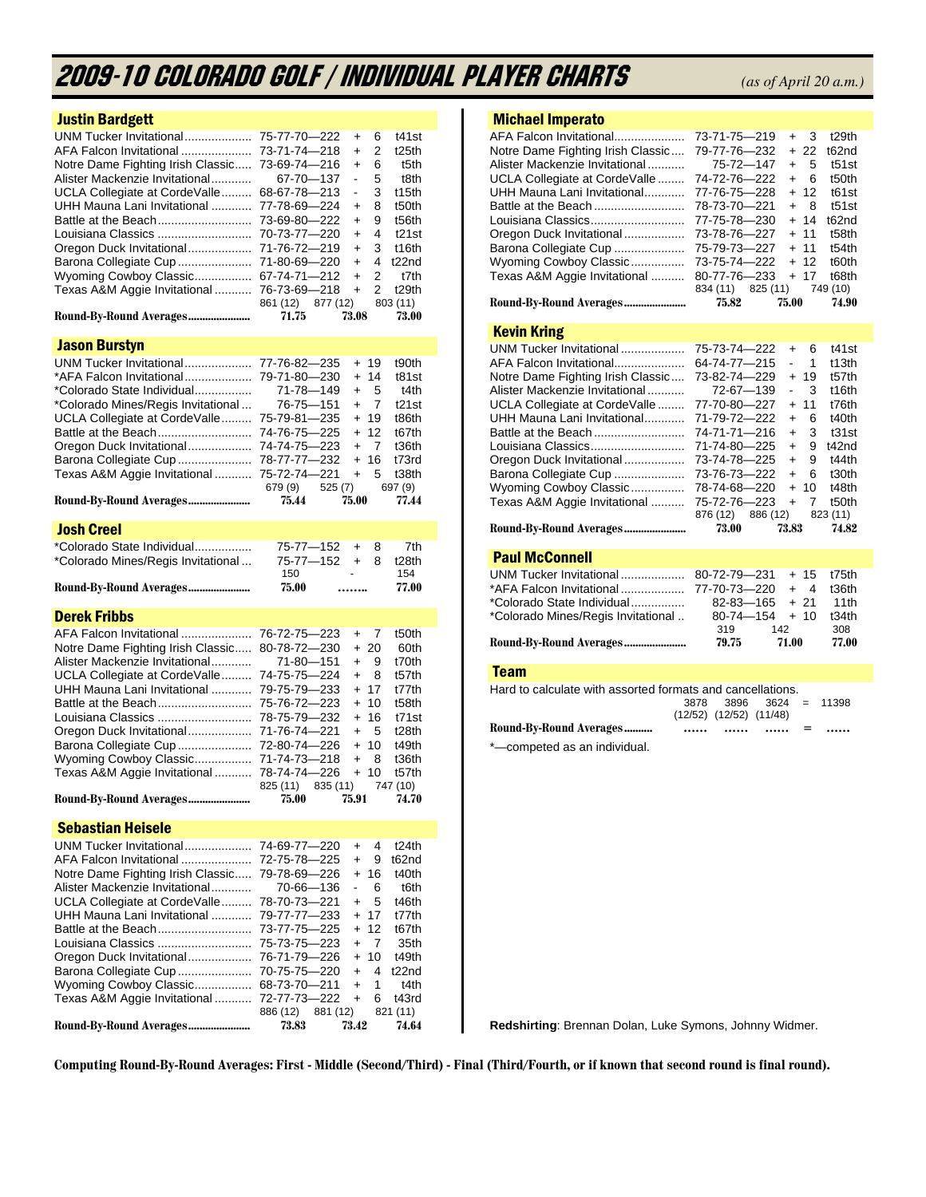# 2009-10 COLORADO GOLF / Individual Player Charts *(as of April 20 a.m.)*

| <b>Justin Bardgett</b>             |                                                             |
|------------------------------------|-------------------------------------------------------------|
| UNM Tucker Invitational            | 75-77-70-222<br>t41st<br>6<br>$\ddot{}$                     |
| AFA Falcon Invitational            | 73-71-74-218<br>2<br>t <sub>25</sub> th<br>$\ddot{}$        |
| Notre Dame Fighting Irish Classic  | 73-69-74-216<br>6<br>t5th<br>$\ddot{}$                      |
| Alister Mackenzie Invitational     | 5<br>67-70-137<br>ä,<br>t8th                                |
| UCLA Collegiate at CordeValle      | 68-67-78-213<br>3<br>t15th<br>$\overline{\phantom{0}}$      |
| UHH Mauna Lani Invitational        | 77-78-69-224<br>8<br>t50th<br>$\ddot{}$                     |
| Battle at the Beach                | 73-69-80-222<br>9<br>t56th<br>$\ddot{}$                     |
| Louisiana Classics                 | 4<br>70-73-77-220<br>t21st<br>$+$                           |
| Oregon Duck Invitational           | 71-76-72-219<br>3<br>t16th<br>$\ddot{}$                     |
| Barona Collegiate Cup              | 71-80-69-220<br>$\ddot{}$<br>4<br>t22nd                     |
| Wyoming Cowboy Classic             | 67-74-71-212<br>2<br>t7th<br>$\ddot{}$                      |
| Texas A&M Aggie Invitational       | 76-73-69-218<br>2<br>t <sub>29th</sub><br>$+$               |
|                                    | 861 (12) 877 (12)<br>803 (11)                               |
| Round-By-Round Averages            | 71.75<br>73.08<br>73.00                                     |
|                                    |                                                             |
| <b>Jason Burstyn</b>               |                                                             |
| UNM Tucker Invitational            | 77-76-82-235<br>+ 19<br>t90th                               |
| *AFA Falcon Invitational           | 79-71-80-230<br>+ 14<br>t81st                               |
| *Colorado State Individual         | 71-78—149<br>5<br>t4th<br>$\ddot{}$                         |
| *Colorado Mines/Regis Invitational | 76-75-151<br>$+$<br>7<br>t21st                              |
| UCLA Collegiate at CordeValle      | 75-79-81-235<br>+ 19<br>t86th                               |
| Battle at the Beach                | 74-76-75-225<br>+ 12<br>t67th                               |
| Oregon Duck Invitational           | 74-74-75-223<br>7<br>t36th<br>$+$                           |
| Barona Collegiate Cup              | 78-77-77-232<br>16<br>t73rd<br>$+$                          |
| Texas A&M Aggie Invitational       | 75-72-74-221<br>5<br>t38th<br>$+$                           |
|                                    | 679 (9)<br>525(7)<br>697 (9)                                |
| Round-By-Round Averages            | 75.44<br>75.00<br>77.44                                     |
| <b>Josh Creel</b>                  |                                                             |
| *Colorado State Individual         | 75-77-152<br>7th<br>$+$<br>8                                |
| *Colorado Mines/Regis Invitational | 75-77-152<br>$+$<br>8<br>t28th                              |
|                                    |                                                             |
|                                    | 154<br>150                                                  |
| Round-By-Round Averages            | 75.00<br>77.00<br>                                          |
|                                    |                                                             |
| <b>Derek Fribbs</b>                |                                                             |
| AFA Falcon Invitational            | 76-72-75-223<br>$+$<br>7<br>t50th                           |
| Notre Dame Fighting Irish Classic  | 80-78-72-230<br>$+20$<br>60th                               |
| Alister Mackenzie Invitational     | 71-80-151<br>9<br>t70th<br>$+$                              |
| UCLA Collegiate at CordeValle      | 74-75-75-224<br>8<br>t57th<br>$+$                           |
| UHH Mauna Lani Invitational        | + 17<br>79-75-79-233<br>t77th                               |
| Battle at the Beach                | 75-76-72-223<br>+ 10<br>t58th                               |
| Louisiana Classics                 | 16<br>78-75-79-232<br>t71st<br>$+$                          |
| Oregon Duck Invitational           | 71-76-74-221<br>5<br>t <sub>28th</sub><br>$+$               |
|                                    | t49th<br>+ 10                                               |
| Barona Collegiate Cup              | 72-80-74-226<br>t36th<br>71-74-73-218<br>$+$<br>8           |
| Wyoming Cowboy Classic             | $+10$<br>t57th                                              |
| Texas A&M Aggie Invitational       | 78-74-74-226                                                |
| Round-By-Round Averages            | 825 (11)<br>835 (11)<br>747 (10)<br>75.00<br>75.91<br>74.70 |
|                                    |                                                             |
| <b>Sebastian Heisele</b>           |                                                             |
| UNM Tucker Invitational            | 74-69-77—220<br>4<br>t24th<br>$\ddot{}$                     |
| AFA Falcon Invitational            | 9<br>72-75-78-225<br>$\ddot{}$<br>t62nd                     |
| Notre Dame Fighting Irish Classic  | 16<br>79-78-69—226<br>$\ddot{}$<br>t40th                    |
| Alister Mackenzie Invitational     | 70-66-136<br>6<br>t6th                                      |
| UCLA Collegiate at CordeValle      | 78-70-73-221<br>5<br>t46th<br>+                             |
| UHH Mauna Lani Invitational        | 17<br>79-77-77—233<br>t77th<br>$+$                          |
| Battle at the Beach                | 12<br>73-77-75-225<br>$\ddot{}$<br>t67th                    |
| Louisiana Classics                 | 7<br>75-73-75—223<br>$\ddot{}$<br>35th                      |
|                                    | 76-71-79-226<br>$\ddot{}$<br>10<br>t49th                    |
| Oregon Duck Invitational           | 4<br>$\ddot{}$                                              |
| Barona Collegiate Cup              | 70-75-75-220<br>t22nd<br>$+$                                |
| Wyoming Cowboy Classic             | 1<br>t4th<br>68-73-70-211                                   |
| Texas A&M Aggie Invitational       | 72-77-73—222<br>t43rd<br>$+$<br>6                           |
| Round-By-Round Averages            | 821 (11)<br>886 (12)<br>881 (12)<br>73.42<br>73.83<br>74.64 |

## Michael Imperato

|  |                                                                                                                                                                           | t <sub>29th</sub>                                                                                                                         |
|--|---------------------------------------------------------------------------------------------------------------------------------------------------------------------------|-------------------------------------------------------------------------------------------------------------------------------------------|
|  |                                                                                                                                                                           | t62nd                                                                                                                                     |
|  |                                                                                                                                                                           | $t51$ st                                                                                                                                  |
|  |                                                                                                                                                                           | t50th                                                                                                                                     |
|  |                                                                                                                                                                           | t61st                                                                                                                                     |
|  |                                                                                                                                                                           | t51st                                                                                                                                     |
|  |                                                                                                                                                                           | t62nd                                                                                                                                     |
|  |                                                                                                                                                                           | t58th                                                                                                                                     |
|  |                                                                                                                                                                           | t54th                                                                                                                                     |
|  |                                                                                                                                                                           | t60th                                                                                                                                     |
|  |                                                                                                                                                                           | t68th                                                                                                                                     |
|  |                                                                                                                                                                           |                                                                                                                                           |
|  |                                                                                                                                                                           | 74.90                                                                                                                                     |
|  | 73-71-75-219<br>79-77-76-232<br>75-72-147<br>74-72-76-222<br>77-76-75-228<br>78-73-70-221<br>77-75-78-230<br>73-78-76-227<br>75-79-73-227<br>73-75-74-222<br>80-77-76-233 | $+3$<br>$+22$<br>+ 5<br>+ 6<br>$+12$<br>+ 8<br>$+ 14$<br>$+ 11$<br>$+11$<br>$+ 12$<br>$+ 17$<br>834 (11) 825 (11) 749 (10)<br>75.82 75.00 |

## Kevin Kring

| UNM Tucker Invitational           | 75-73-74-222 | $\ddot{}$  | 6     | t41 <sub>st</sub> |
|-----------------------------------|--------------|------------|-------|-------------------|
| AFA Falcon Invitational           | 64-74-77-215 |            | $-1$  | t13th             |
| Notre Dame Fighting Irish Classic | 73-82-74-229 |            | $+19$ | t57th             |
| Alister Mackenzie Invitational    | 72-67-139    | $\sim 100$ | 3     | t16th             |
| UCLA Collegiate at CordeValle     | 77-70-80-227 |            | $+11$ | t76th             |
| UHH Mauna Lani Invitational       | 71-79-72-222 | $+$        | 6     | t40th             |
| Battle at the Beach               | 74-71-71-216 |            | $+3$  | t31st             |
| Louisiana Classics                | 71-74-80-225 | $+$        | 9     | t42nd             |
| Oregon Duck Invitational          | 73-74-78-225 | $+$        | 9     | t44th             |
| Barona Collegiate Cup             | 73-76-73-222 | $+$        | 6     | t30th             |
| Wyoming Cowboy Classic            | 78-74-68-220 |            | $+10$ | t48th             |
| Texas A&M Aggie Invitational      | 75-72-76-223 | $+$        | 7     | t50th             |
|                                   | 876 (12)     | 886 (12)   |       | 823 (11)          |
|                                   | 73.00        | 73.83      |       | 74.82             |
|                                   |              |            |       |                   |

## Paul McConnell

| UNM Tucker Invitational 80-72-79-231 + 15 t75th |                      |       |       |
|-------------------------------------------------|----------------------|-------|-------|
|                                                 |                      |       |       |
| *Colorado State Individual                      | $82 - 83 - 165 + 21$ |       | 11th  |
| *Colorado Mines/Regis Invitational              | $80 - 74 - 154 + 10$ |       | t34th |
|                                                 | 319                  | 142   | 308   |
|                                                 | 79.75                | 71.00 | 77.00 |
|                                                 |                      |       |       |

## Team

| Hard to calculate with assorted formats and cancellations. |                               |                              |  |
|------------------------------------------------------------|-------------------------------|------------------------------|--|
|                                                            |                               | $3878$ $3896$ $3624$ = 11398 |  |
|                                                            | $(12/52)$ $(12/52)$ $(11/48)$ |                              |  |
| Round-By-Round Averages                                    |                               |                              |  |
| *-competed as an individual.                               |                               |                              |  |

**Redshirting**: Brennan Dolan, Luke Symons, Johnny Widmer.

**Computing Round-By-Round Averages: First - Middle (Second/Third) - Final (Third/Fourth, or if known that second round is final round).**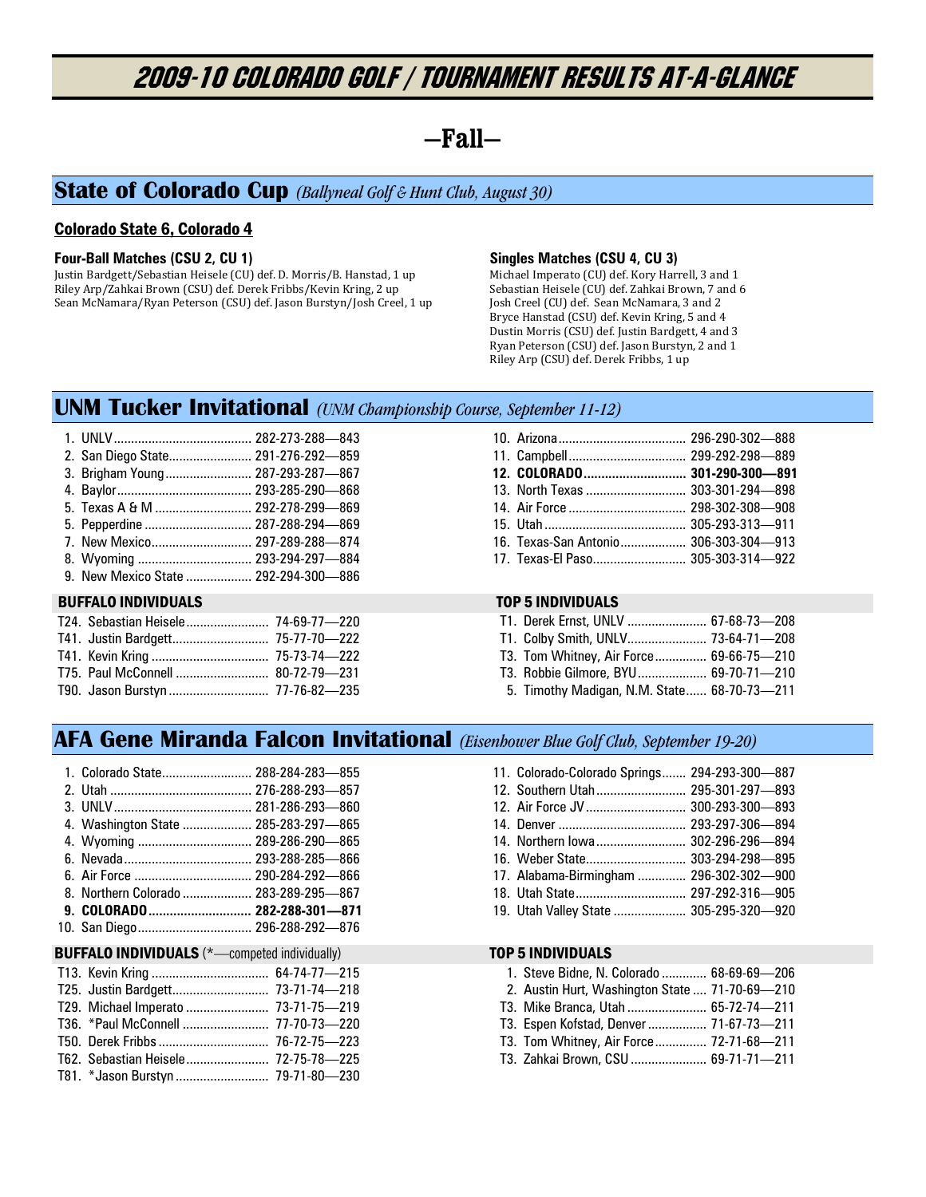# 2009-10 COLORADO GOLF / Tournament Results At-A-Glance

## **—Fall—**

## **State of Colorado Cup** *(Ballyneal Golf & Hunt Club, August 30)*

## Colorado State 6, Colorado 4

### **Four-Ball Matches (CSU 2, CU 1)**

Justin Bardgett/Sebastian Heisele (CU) def. D. Morris/B. Hanstad, 1 up Riley Arp/Zahkai Brown (CSU) def. Derek Fribbs/Kevin Kring, 2 up Sean McNamara/Ryan Peterson (CSU) def. Jason Burstyn/Josh Creel, 1 up

## **Singles Matches (CSU 4, CU 3)**

Michael Imperato (CU) def. Kory Harrell, 3 and 1 Sebastian Heisele (CU) def. Zahkai Brown, 7 and 6 Josh Creel (CU) def. Sean McNamara, 3 and 2 Bryce Hanstad (CSU) def. Kevin Kring, 5 and 4 Dustin Morris (CSU) def. Justin Bardgett, 4 and 3 Ryan Peterson (CSU) def. Jason Burstyn, 2 and 1 Riley Arp (CSU) def. Derek Fribbs, 1 up

## **UNM Tucker Invitational** *(UNM Championship Course, September 11-12)*

| 9. New Mexico State  292-294-300-886                            | 8. Wyoming  293-294-297-884 |  |  |  |
|-----------------------------------------------------------------|-----------------------------|--|--|--|
| 5. Pepperdine  287-288-294-869<br>7. New Mexico 297-289-288-874 |                             |  |  |  |
| 5. Texas A & M  292-278-299-869                                 |                             |  |  |  |
|                                                                 |                             |  |  |  |
| 3. Brigham Young 287-293-287-867                                |                             |  |  |  |
| 2. San Diego State 291-276-292-859                              |                             |  |  |  |

## BUFFALO INDIVIDUALS TOP 5 INDIVIDUALS

| T90. Jason Burstyn  77-76-82-235 |  |
|----------------------------------|--|

| 13. North Texas  303-301-294-898      |  |
|---------------------------------------|--|
|                                       |  |
|                                       |  |
| 16. Texas-San Antonio 306-303-304-913 |  |
| 17. Texas-El Paso 305-303-314-922     |  |

|  | T1. Derek Ernst, UNLV  67-68-73-208         |  |
|--|---------------------------------------------|--|
|  | T1. Colby Smith, UNLV 73-64-71-208          |  |
|  | T3. Tom Whitney, Air Force 69-66-75-210     |  |
|  | T3. Robbie Gilmore, BYU 69-70-71-210        |  |
|  | 5. Timothy Madigan, N.M. State 68-70-73-211 |  |

## **AFA Gene Miranda Falcon Invitational** *(Eisenhower Blue Golf Club, September 19-20)*

| 1. Colorado State 288-284-283—855     |  |
|---------------------------------------|--|
|                                       |  |
|                                       |  |
| 4. Washington State  285-283-297-865  |  |
| 4. Wyoming  289-286-290-865           |  |
|                                       |  |
|                                       |  |
| 8. Northern Colorado  283-289-295-867 |  |
| 9. COLORADO 282-288-301—871           |  |
| 10. San Diego 296-288-292-876         |  |

### BUFFALO INDIVIDUALS (\*-competed individually) TOP 5 INDIVIDUALS

| T25. Justin Bardgett 73-71-74-218   |  |
|-------------------------------------|--|
| T29. Michael Imperato  73-71-75-219 |  |
|                                     |  |
|                                     |  |
|                                     |  |
|                                     |  |

| 11. Colorado-Colorado Springs 294-293-300-887 |  |
|-----------------------------------------------|--|
| 12. Southern Utah 295-301-297-893             |  |
| 12. Air Force JV  300-293-300-893             |  |
|                                               |  |
| 14. Northern lowa 302-296-296-894             |  |
| 16. Weber State 303-294-298-895               |  |
| 17. Alabama-Birmingham  296-302-302-900       |  |
| 18. Utah State 297-292-316-905                |  |
| 19. Utah Valley State  305-295-320-920        |  |

|  | 1. Steve Bidne, N. Colorado  68-69-69-206 |
|--|-------------------------------------------|
|--|-------------------------------------------|

|  |  |  | 2. Austin Hurt, Washington State  71-70-69-210 |  |  |
|--|--|--|------------------------------------------------|--|--|
|  |  |  |                                                |  |  |

- T3. Mike Branca, Utah ....................... 65-72-74—211
- T3. Espen Kofstad, Denver ................. 71-67-73—211
- T3. Tom Whitney, Air Force ............... 72-71-68—211
- T3. Zahkai Brown, CSU ...................... 69-71-71—211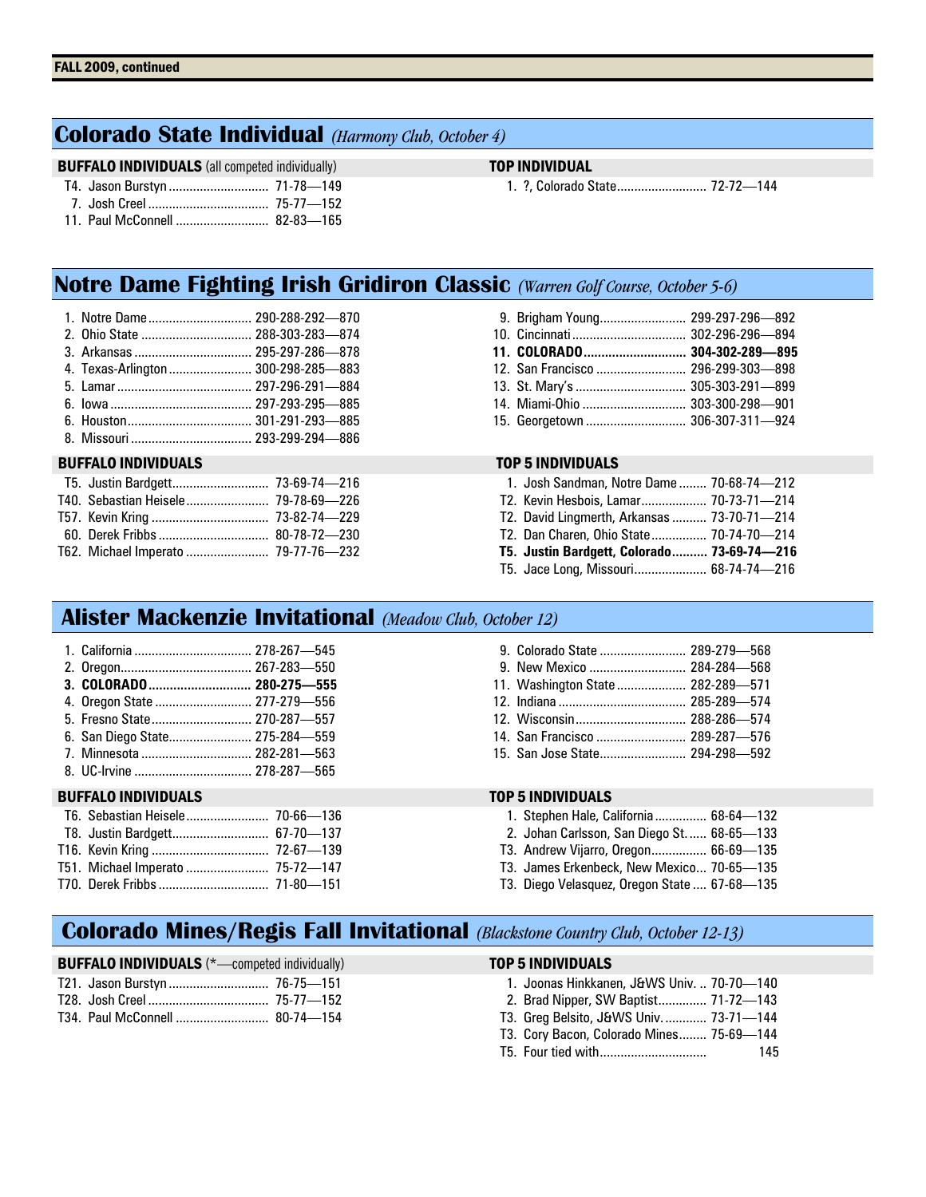## **Colorado State Individual** *(Harmony Club, October 4)*

## **BUFFALO INDIVIDUALS** (all competed individually) **TOP INDIVIDUAL**

1. ?, Colorado State .......................... 72-72—144

| $\overline{A}$ $\overline{A}$ $\overline{B}$ $\overline{A}$ $\overline{B}$ $\overline{A}$ $\overline{B}$ $\overline{A}$ $\overline{B}$ $\overline{B}$ $\overline{B}$ $\overline{B}$ $\overline{B}$ $\overline{B}$ $\overline{B}$ $\overline{B}$ $\overline{B}$ $\overline{B}$ $\overline{B}$ $\overline{B}$ $\overline{B}$ $\overline{B}$ $\overline{B}$ $\overline{B}$ $\overline{$ | 000000000 |  |
|--------------------------------------------------------------------------------------------------------------------------------------------------------------------------------------------------------------------------------------------------------------------------------------------------------------------------------------------------------------------------------------|-----------|--|

11. Paul McConnell ........................... 82-83—165

# **Notre Dame Fighting Irish Gridiron Classic** *(Warren Golf Course, October 5-6)*

| 1. Notre Dame 290-288-292-870       |  |
|-------------------------------------|--|
|                                     |  |
|                                     |  |
| 4. Texas-Arlington  300-298-285-883 |  |
|                                     |  |
|                                     |  |
|                                     |  |

8. Missouri ................................... 293-299-294—886

## BUFFALO INDIVIDUALS TOP 5 INDIVIDUALS

| T62. Michael Imperato  79-77-76-232 |  |
|-------------------------------------|--|

| 9. Brigham Young 299-297-296-892 |  |
|----------------------------------|--|
|                                  |  |
|                                  |  |
|                                  |  |
| 13. St. Mary's  305-303-291-899  |  |
| 14. Miami-Ohio  303-300-298-901  |  |
| 15. Georgetown  306-307-311-924  |  |

| 1. Josh Sandman, Notre Dame  70-68-74-212   |  |
|---------------------------------------------|--|
| T2. Kevin Hesbois, Lamar 70-73-71-214       |  |
| T2. David Lingmerth, Arkansas  73-70-71-214 |  |
| T2. Dan Charen, Ohio State 70-74-70-214     |  |
| T5. Justin Bardgett, Colorado 73-69-74-216  |  |
| T5. Jace Long, Missouri 68-74-74-216        |  |

## **Alister Mackenzie Invitational** *(Meadow Club, October 12)*

| <b>BUFFALO INDIVIDUALS</b>     | <b>TOP 5 INDIVIDUALS</b>          |
|--------------------------------|-----------------------------------|
|                                |                                   |
|                                |                                   |
| 6. San Diego State 275-284-559 | 14. San Francisco  289-287-676    |
|                                | 12. Wisconsin 288-286-574         |
| 4. Oregon State  277-279-556   |                                   |
|                                | 11. Washington State  282-289-571 |
|                                |                                   |
|                                | 9. Colorado State  289-279-568    |

| T51. Michael Imperato  75-72-147 |  |
|----------------------------------|--|
|                                  |  |

## 14. San Francisco .......................... 289-287—576 . . . . . . . . . . . . . . . . 294-298—592

- 1. Stephen Hale, California ............... 68-64—132
- 2. Johan Carlsson, San Diego St. ..... 68-65—133
- T3. Andrew Vijarro, Oregon ................ 66-69—135
- T3. James Erkenbeck, New Mexico ... 70-65—135
- T3. Diego Velasquez, Oregon State .... 67-68—135

## **Colorado Mines/Regis Fall Invitational** *(Blackstone Country Club, October 12-13)*

| <b>BUFFALO INDIVIDUALS</b> (*-competed individually) | TOP 5 INDIVIDUALS                                                                                                                                                                                                                                        |
|------------------------------------------------------|----------------------------------------------------------------------------------------------------------------------------------------------------------------------------------------------------------------------------------------------------------|
|                                                      | 1. Joonas Hinkkanen, J&WS Univ.  70-70-140                                                                                                                                                                                                               |
|                                                      | 2. Brad Nipper, SW Baptist 71-72—143                                                                                                                                                                                                                     |
|                                                      | T3. Greg Belsito, J&WS Univ.  73-71-144                                                                                                                                                                                                                  |
|                                                      | $T2$ $Q_{2}$ $Q_{3}$ $Q_{4}$ $Q_{5}$ $Q_{6}$ $Q_{7}$ $Q_{8}$ $Q_{9}$ $Q_{10}$ $Q_{11}$ $Q_{12}$ $Q_{13}$ $Q_{14}$ $Q_{15}$ $Q_{16}$ $Q_{17}$ $Q_{18}$ $Q_{19}$ $Q_{10}$ $Q_{11}$ $Q_{10}$ $Q_{11}$ $Q_{12}$ $Q_{13}$ $Q_{14}$ $Q_{15}$ $Q_{16}$ $Q_{17}$ |

- T3. Cory Bacon, Colorado Mines ........ 75-69—144
- T5. Four tied with ............................... 145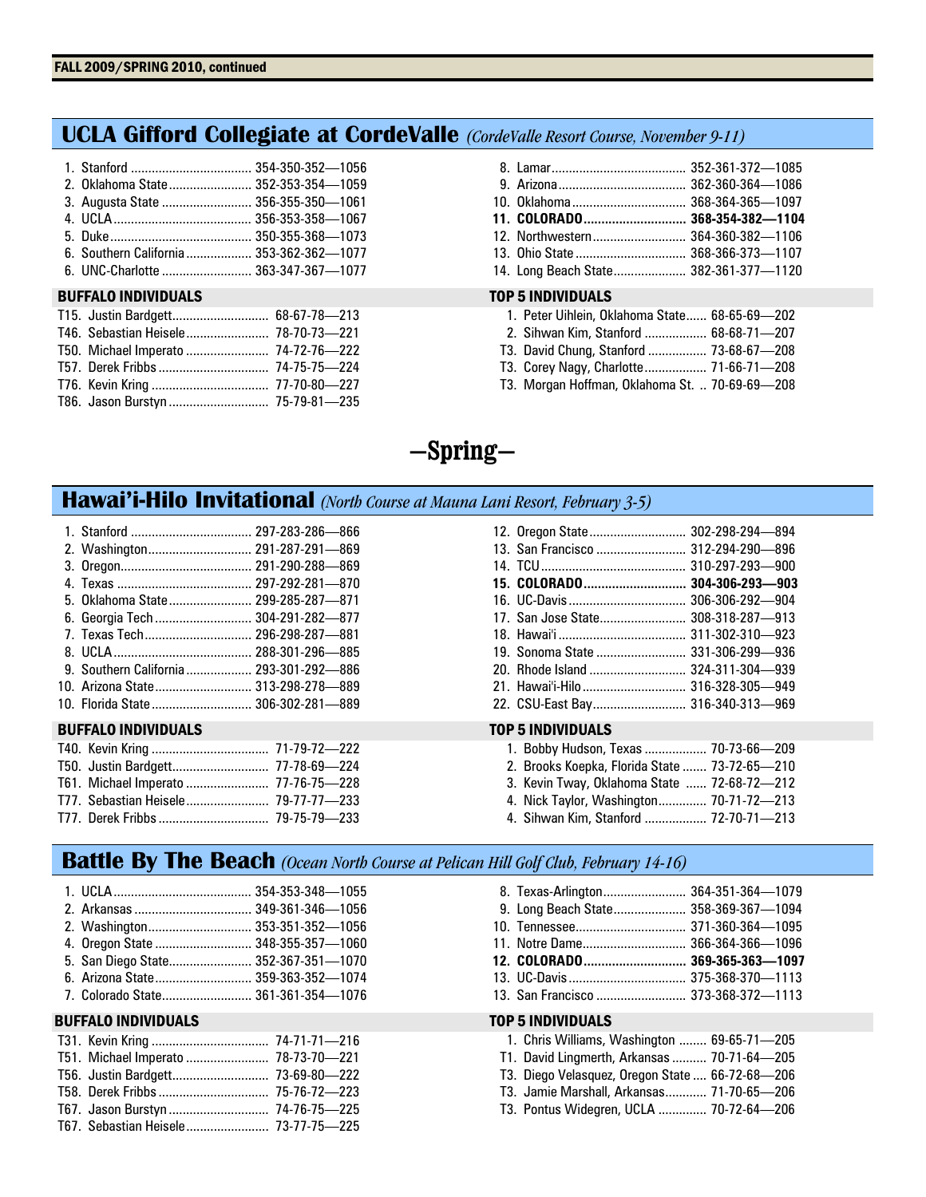## **UCLA Gifford Collegiate at CordeValle** *(CordeValle Resort Course, November 9-11)*

| 2. Oklahoma State  352-353-354-1059 |  |
|-------------------------------------|--|
| 3. Augusta State  356-355-350-1061  |  |
|                                     |  |
|                                     |  |
|                                     |  |
| 6. UNC-Charlotte  363-347-367-1077  |  |

### BUFFALO INDIVIDUALS TOP 5 INDIVIDUALS

| T15. Justin Bardgett 68-67-78-213   |  |
|-------------------------------------|--|
| T46. Sebastian Heisele 78-70-73-221 |  |
|                                     |  |
|                                     |  |
|                                     |  |
| T86. Jason Burstyn  75-79-81-235    |  |

|  | 1. Peter Uihlein, Oklahoma State 68-65-69-202 |  |  |  |  |
|--|-----------------------------------------------|--|--|--|--|
|--|-----------------------------------------------|--|--|--|--|

- 2. Sihwan Kim, Stanford .................. 68-68-71—207
- T3. David Chung, Stanford ................. 73-68-67—208
- T3. Corey Nagy, Charlotte .................. 71-66-71—208
- T3. Morgan Hoffman, Oklahoma St. .. 70-69-69—208

# **—Spring—**

## **Hawai'i-Hilo Invitational** *(North Course at Mauna Lani Resort, February 3-5)*

| 1. Stanford  297-283-286-866            |  |
|-----------------------------------------|--|
| 2. Washington 291-287-291-869           |  |
|                                         |  |
|                                         |  |
| 5. Oklahoma State 299-285-287-871       |  |
| 6. Georgia Tech  304-291-282-877        |  |
|                                         |  |
|                                         |  |
| 9. Southern California  293-301-292-886 |  |
| 10. Arizona State 313-298-278-889       |  |
| 10. Florida State 306-302-281-889       |  |

### BUFFALO INDIVIDUALS TOP 5 INDIVIDUALS

| T50. Justin Bardgett 77-78-69-224   |  |
|-------------------------------------|--|
| T61. Michael Imperato  77-76-75-228 |  |
|                                     |  |
|                                     |  |

| 12. Oregon State 302-298-294-894   |  |
|------------------------------------|--|
| 13. San Francisco  312-294-290-896 |  |
|                                    |  |
| 15. COLORADO 304-306-293-903       |  |
|                                    |  |
| 17. San Jose State 308-318-287-913 |  |
|                                    |  |
| 19. Sonoma State  331-306-299-936  |  |
| 20. Rhode Island  324-311-304-939  |  |
|                                    |  |
| 22. CSU-East Bay 316-340-313-969   |  |

|  |  | 1. Bobby Hudson, Texas  70-73-66—209 |  |  |
|--|--|--------------------------------------|--|--|
|--|--|--------------------------------------|--|--|

- 2. Brooks Koepka, Florida State ....... 73-72-65—210
- 3. Kevin Tway, Oklahoma State ...... 72-68-72—212
- 4. Nick Taylor, Washington .............. 70-71-72—213
- 4. Sihwan Kim, Stanford .................. 72-70-71—213

## **Battle By The Beach** *(Ocean North Course at Pelican Hill Golf Club, February 14-16)*

| 2. Washington 353-351-352-1056 |                                     |
|--------------------------------|-------------------------------------|
|                                | 4. Oregon State  348-355-357-1060   |
|                                | 5. San Diego State 352-367-351-1070 |
|                                | 6. Arizona State 359-363-352-1074   |
|                                | 7. Colorado State 361-361-354-1076  |

## **BUFFALO INDIVIDUALS**

| T51. Michael Imperato  78-73-70-221 |  |
|-------------------------------------|--|
|                                     |  |
|                                     |  |
|                                     |  |
|                                     |  |

| 8. Texas-Arlington 364-351-364-1079      |  |  |
|------------------------------------------|--|--|
| 9. Long Beach State 358-369-367-1094     |  |  |
|                                          |  |  |
| 11. Notre Dame 366-364-366-1096          |  |  |
|                                          |  |  |
|                                          |  |  |
|                                          |  |  |
| TOP 5 INDIVIDUALS                        |  |  |
|                                          |  |  |
| 1 Chris Williams Washington 69-65-71-205 |  |  |

|  | 1. Chris Williams, Washington  69-65-71-205     |  |
|--|-------------------------------------------------|--|
|  | T1. David Lingmerth, Arkansas  70-71-64-205     |  |
|  | T3. Diego Velasquez, Oregon State  66-72-68-206 |  |
|  | T3. Jamie Marshall, Arkansas 71-70-65-206       |  |
|  | T3. Pontus Widegren, UCLA  70-72-64-206         |  |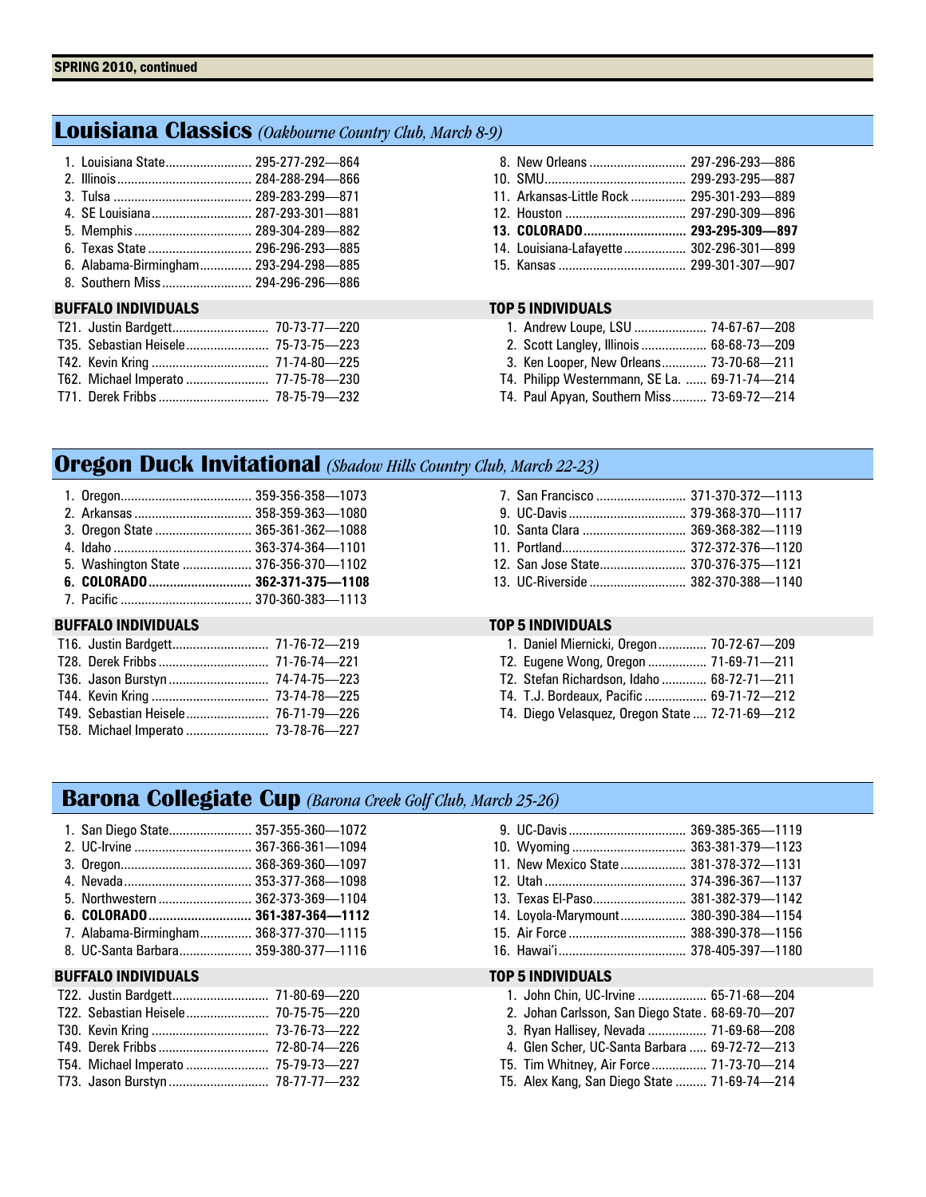## **Louisiana Classics** *(Oakbourne Country Club, March 8-9)*

| 1. Louisiana State 295-277-292-864    |  |
|---------------------------------------|--|
|                                       |  |
|                                       |  |
|                                       |  |
|                                       |  |
| 6. Texas State  296-296-293-885       |  |
| 6. Alabama-Birmingham 293-294-298-885 |  |
| 8. Southern Miss 294-296-296-886      |  |

## BUFFALO INDIVIDUALS TOP 5 INDIVIDUALS

| T21. Justin Bardgett 70-73-77-220   |  |
|-------------------------------------|--|
|                                     |  |
|                                     |  |
| T62. Michael Imperato  77-75-78-230 |  |
|                                     |  |

| 11. Arkansas-Little Rock  295-301-293-889 |  |
|-------------------------------------------|--|
|                                           |  |
|                                           |  |
| 14. Louisiana-Lafayette 302-296-301-899   |  |
|                                           |  |

| 1. Andrew Loupe, LSU  74-67-67-208            |  |
|-----------------------------------------------|--|
| 2. Scott Langley, Illinois  68-68-73-209      |  |
| 3. Ken Looper, New Orleans 73-70-68-211       |  |
| T4. Philipp Westernmann, SE La.  69-71-74-214 |  |
| T4. Paul Apyan, Southern Miss 73-69-72-214    |  |

## **Oregon Duck Invitational** *(Shadow Hills Country Club, March 22-23)*

| 3. Oregon State  365-361-362-1088     |  |
|---------------------------------------|--|
|                                       |  |
| 5. Washington State  376-356-370-1102 |  |
|                                       |  |
|                                       |  |
|                                       |  |

## BUFFALO INDIVIDUALS TOP 5 INDIVIDUALS

| T16. Justin Bardgett 71-76-72-219   |  |
|-------------------------------------|--|
|                                     |  |
|                                     |  |
|                                     |  |
|                                     |  |
| T58. Michael Imperato  73-78-76-227 |  |

| 7. San Francisco  371-370-372-1113 |  |
|------------------------------------|--|
|                                    |  |
|                                    |  |
|                                    |  |
|                                    |  |
|                                    |  |

|  | 1. Daniel Miernicki, Oregon 70-72-67-209   |  |
|--|--------------------------------------------|--|
|  | T2. Eugene Wong, Oregon  71-69-71-211      |  |
|  | T2. Stefan Richardson, Idaho  68-72-71-211 |  |
|  | T4. T.J. Bordeaux. Pacific  69-71-72-212   |  |
|  |                                            |  |

T4. Diego Velasquez, Oregon State .... 72-71-69—212

## **Barona Collegiate Cup** *(Barona Creek Golf Club, March 25-26)*

| 1. San Diego State 357-355-360-1072    |  |
|----------------------------------------|--|
| 2. UC-Irvine  367-366-361-1094         |  |
|                                        |  |
|                                        |  |
| 5. Northwestern  362-373-369-1104      |  |
|                                        |  |
| 7. Alabama-Birmingham 368-377-370-1115 |  |
| 8. UC-Santa Barbara 359-380-377-1116   |  |

## BUFFALO INDIVIDUALS TOP 5 INDIVIDUALS

| 10. Wyoming  363-381-379-1123         |  |
|---------------------------------------|--|
| 11. New Mexico State 381-378-372-1131 |  |
|                                       |  |
| 13. Texas El-Paso 381-382-379-1142    |  |
| 14. Loyola-Marymount 380-390-384-1154 |  |
|                                       |  |
|                                       |  |

| 1. John Chin, UC-Irvine  65-71-68-204            |  |
|--------------------------------------------------|--|
| 2. Johan Carlsson, San Diego State. 68-69-70-207 |  |
| 3. Ryan Hallisey, Nevada  71-69-68—208           |  |

- 4. Glen Scher, UC-Santa Barbara ..... 69-72-72—213
- T5. Tim Whitney, Air Force ................ 71-73-70—214
- T5. Alex Kang, San Diego State ......... 71-69-74—214